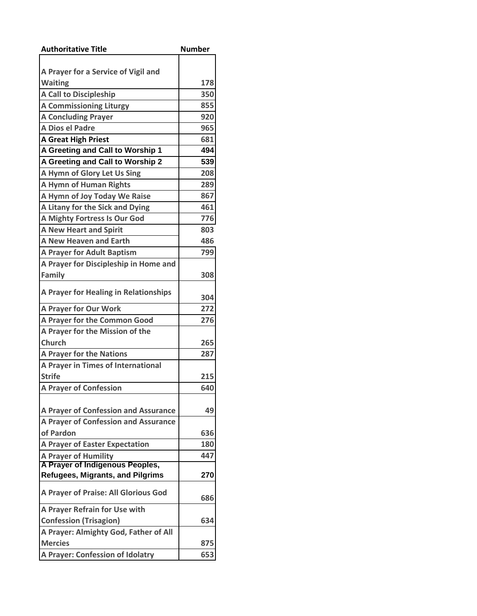| <b>Authoritative Title</b>              | <b>Number</b> |
|-----------------------------------------|---------------|
|                                         |               |
| A Prayer for a Service of Vigil and     |               |
| <b>Waiting</b>                          | 178           |
| <b>A Call to Discipleship</b>           | 350           |
| <b>A Commissioning Liturgy</b>          | 855           |
| <b>A Concluding Prayer</b>              | 920           |
| A Dios el Padre                         | 965           |
| <b>A Great High Priest</b>              | 681           |
| A Greeting and Call to Worship 1        | 494           |
| A Greeting and Call to Worship 2        | 539           |
| A Hymn of Glory Let Us Sing             | 208           |
| <b>A Hymn of Human Rights</b>           | 289           |
| A Hymn of Joy Today We Raise            | 867           |
| A Litany for the Sick and Dying         | 461           |
| A Mighty Fortress Is Our God            | 776           |
| <b>A New Heart and Spirit</b>           | 803           |
| <b>A New Heaven and Earth</b>           | 486           |
| <b>A Prayer for Adult Baptism</b>       | 799           |
| A Prayer for Discipleship in Home and   |               |
| <b>Family</b>                           | 308           |
|                                         |               |
| A Prayer for Healing in Relationships   | 304           |
| <b>A Prayer for Our Work</b>            | 272           |
| A Prayer for the Common Good            | 276           |
| A Prayer for the Mission of the         |               |
| <b>Church</b>                           | 265           |
| <b>A Prayer for the Nations</b>         | 287           |
| A Prayer in Times of International      |               |
| <b>Strife</b>                           | 215           |
| <b>A Prayer of Confession</b>           | 640           |
|                                         |               |
| A Prayer of Confession and Assurance    | 49            |
| A Prayer of Confession and Assurance    |               |
| of Pardon                               | 636           |
| <b>A Prayer of Easter Expectation</b>   | 180           |
| <b>A Prayer of Humility</b>             | 447           |
| A Prayer of Indigenous Peoples,         |               |
| <b>Refugees, Migrants, and Pilgrims</b> | 270           |
| A Prayer of Praise: All Glorious God    | 686           |
| A Prayer Refrain for Use with           |               |
| <b>Confession (Trisagion)</b>           | 634           |
| A Prayer: Almighty God, Father of All   |               |
| <b>Mercies</b>                          | 875           |
| <b>A Prayer: Confession of Idolatry</b> | 653           |
|                                         |               |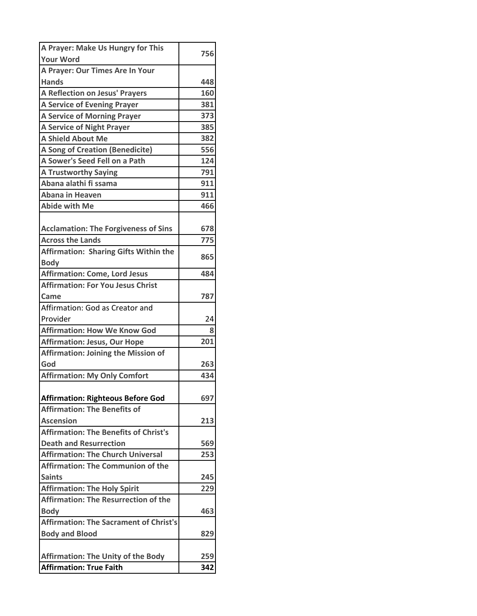| <b>Your Word</b><br>A Prayer: Our Times Are In Your<br><b>Hands</b><br>448<br><b>A Reflection on Jesus' Prayers</b><br>160<br><b>A Service of Evening Prayer</b><br>381<br>373<br><b>A Service of Morning Prayer</b><br><b>A Service of Night Prayer</b><br>385<br><b>A Shield About Me</b><br>382<br><b>A Song of Creation (Benedicite)</b><br>556<br>A Sower's Seed Fell on a Path<br>124<br>791<br><b>A Trustworthy Saying</b><br>Abana alathi fi ssama<br>911<br><b>Abana in Heaven</b><br>911<br><b>Abide with Me</b><br>466<br><b>Acclamation: The Forgiveness of Sins</b><br>678<br>775<br><b>Across the Lands</b><br><b>Affirmation: Sharing Gifts Within the</b><br>865<br><b>Body</b><br><b>Affirmation: Come, Lord Jesus</b><br>484<br><b>Affirmation: For You Jesus Christ</b><br>787<br>Came<br>Affirmation: God as Creator and<br>Provider<br>24<br>8<br>201<br><b>Affirmation: Jesus, Our Hope</b><br><b>Affirmation: Joining the Mission of</b><br>God<br>263<br><b>Affirmation: My Only Comfort</b><br>434<br><b>Affirmation: Righteous Before God</b><br>697<br><b>Affirmation: The Benefits of</b><br><b>Ascension</b><br>213<br><b>Affirmation: The Benefits of Christ's</b><br><b>Death and Resurrection</b><br>569<br>253<br><b>Affirmation: The Communion of the</b><br><b>Saints</b><br>245<br><b>Affirmation: The Holy Spirit</b><br>229<br><b>Affirmation: The Resurrection of the</b><br>463 | A Prayer: Make Us Hungry for This             |     |
|-------------------------------------------------------------------------------------------------------------------------------------------------------------------------------------------------------------------------------------------------------------------------------------------------------------------------------------------------------------------------------------------------------------------------------------------------------------------------------------------------------------------------------------------------------------------------------------------------------------------------------------------------------------------------------------------------------------------------------------------------------------------------------------------------------------------------------------------------------------------------------------------------------------------------------------------------------------------------------------------------------------------------------------------------------------------------------------------------------------------------------------------------------------------------------------------------------------------------------------------------------------------------------------------------------------------------------------------------------------------------------------------------------------------------|-----------------------------------------------|-----|
|                                                                                                                                                                                                                                                                                                                                                                                                                                                                                                                                                                                                                                                                                                                                                                                                                                                                                                                                                                                                                                                                                                                                                                                                                                                                                                                                                                                                                         |                                               | 756 |
|                                                                                                                                                                                                                                                                                                                                                                                                                                                                                                                                                                                                                                                                                                                                                                                                                                                                                                                                                                                                                                                                                                                                                                                                                                                                                                                                                                                                                         |                                               |     |
|                                                                                                                                                                                                                                                                                                                                                                                                                                                                                                                                                                                                                                                                                                                                                                                                                                                                                                                                                                                                                                                                                                                                                                                                                                                                                                                                                                                                                         |                                               |     |
|                                                                                                                                                                                                                                                                                                                                                                                                                                                                                                                                                                                                                                                                                                                                                                                                                                                                                                                                                                                                                                                                                                                                                                                                                                                                                                                                                                                                                         |                                               |     |
|                                                                                                                                                                                                                                                                                                                                                                                                                                                                                                                                                                                                                                                                                                                                                                                                                                                                                                                                                                                                                                                                                                                                                                                                                                                                                                                                                                                                                         |                                               |     |
|                                                                                                                                                                                                                                                                                                                                                                                                                                                                                                                                                                                                                                                                                                                                                                                                                                                                                                                                                                                                                                                                                                                                                                                                                                                                                                                                                                                                                         |                                               |     |
|                                                                                                                                                                                                                                                                                                                                                                                                                                                                                                                                                                                                                                                                                                                                                                                                                                                                                                                                                                                                                                                                                                                                                                                                                                                                                                                                                                                                                         |                                               |     |
|                                                                                                                                                                                                                                                                                                                                                                                                                                                                                                                                                                                                                                                                                                                                                                                                                                                                                                                                                                                                                                                                                                                                                                                                                                                                                                                                                                                                                         |                                               |     |
|                                                                                                                                                                                                                                                                                                                                                                                                                                                                                                                                                                                                                                                                                                                                                                                                                                                                                                                                                                                                                                                                                                                                                                                                                                                                                                                                                                                                                         |                                               |     |
|                                                                                                                                                                                                                                                                                                                                                                                                                                                                                                                                                                                                                                                                                                                                                                                                                                                                                                                                                                                                                                                                                                                                                                                                                                                                                                                                                                                                                         |                                               |     |
|                                                                                                                                                                                                                                                                                                                                                                                                                                                                                                                                                                                                                                                                                                                                                                                                                                                                                                                                                                                                                                                                                                                                                                                                                                                                                                                                                                                                                         |                                               |     |
|                                                                                                                                                                                                                                                                                                                                                                                                                                                                                                                                                                                                                                                                                                                                                                                                                                                                                                                                                                                                                                                                                                                                                                                                                                                                                                                                                                                                                         |                                               |     |
|                                                                                                                                                                                                                                                                                                                                                                                                                                                                                                                                                                                                                                                                                                                                                                                                                                                                                                                                                                                                                                                                                                                                                                                                                                                                                                                                                                                                                         |                                               |     |
|                                                                                                                                                                                                                                                                                                                                                                                                                                                                                                                                                                                                                                                                                                                                                                                                                                                                                                                                                                                                                                                                                                                                                                                                                                                                                                                                                                                                                         |                                               |     |
|                                                                                                                                                                                                                                                                                                                                                                                                                                                                                                                                                                                                                                                                                                                                                                                                                                                                                                                                                                                                                                                                                                                                                                                                                                                                                                                                                                                                                         |                                               |     |
|                                                                                                                                                                                                                                                                                                                                                                                                                                                                                                                                                                                                                                                                                                                                                                                                                                                                                                                                                                                                                                                                                                                                                                                                                                                                                                                                                                                                                         |                                               |     |
|                                                                                                                                                                                                                                                                                                                                                                                                                                                                                                                                                                                                                                                                                                                                                                                                                                                                                                                                                                                                                                                                                                                                                                                                                                                                                                                                                                                                                         |                                               |     |
|                                                                                                                                                                                                                                                                                                                                                                                                                                                                                                                                                                                                                                                                                                                                                                                                                                                                                                                                                                                                                                                                                                                                                                                                                                                                                                                                                                                                                         |                                               |     |
|                                                                                                                                                                                                                                                                                                                                                                                                                                                                                                                                                                                                                                                                                                                                                                                                                                                                                                                                                                                                                                                                                                                                                                                                                                                                                                                                                                                                                         |                                               |     |
|                                                                                                                                                                                                                                                                                                                                                                                                                                                                                                                                                                                                                                                                                                                                                                                                                                                                                                                                                                                                                                                                                                                                                                                                                                                                                                                                                                                                                         |                                               |     |
|                                                                                                                                                                                                                                                                                                                                                                                                                                                                                                                                                                                                                                                                                                                                                                                                                                                                                                                                                                                                                                                                                                                                                                                                                                                                                                                                                                                                                         |                                               |     |
|                                                                                                                                                                                                                                                                                                                                                                                                                                                                                                                                                                                                                                                                                                                                                                                                                                                                                                                                                                                                                                                                                                                                                                                                                                                                                                                                                                                                                         |                                               |     |
|                                                                                                                                                                                                                                                                                                                                                                                                                                                                                                                                                                                                                                                                                                                                                                                                                                                                                                                                                                                                                                                                                                                                                                                                                                                                                                                                                                                                                         |                                               |     |
|                                                                                                                                                                                                                                                                                                                                                                                                                                                                                                                                                                                                                                                                                                                                                                                                                                                                                                                                                                                                                                                                                                                                                                                                                                                                                                                                                                                                                         |                                               |     |
|                                                                                                                                                                                                                                                                                                                                                                                                                                                                                                                                                                                                                                                                                                                                                                                                                                                                                                                                                                                                                                                                                                                                                                                                                                                                                                                                                                                                                         | <b>Affirmation: How We Know God</b>           |     |
|                                                                                                                                                                                                                                                                                                                                                                                                                                                                                                                                                                                                                                                                                                                                                                                                                                                                                                                                                                                                                                                                                                                                                                                                                                                                                                                                                                                                                         |                                               |     |
|                                                                                                                                                                                                                                                                                                                                                                                                                                                                                                                                                                                                                                                                                                                                                                                                                                                                                                                                                                                                                                                                                                                                                                                                                                                                                                                                                                                                                         |                                               |     |
|                                                                                                                                                                                                                                                                                                                                                                                                                                                                                                                                                                                                                                                                                                                                                                                                                                                                                                                                                                                                                                                                                                                                                                                                                                                                                                                                                                                                                         |                                               |     |
|                                                                                                                                                                                                                                                                                                                                                                                                                                                                                                                                                                                                                                                                                                                                                                                                                                                                                                                                                                                                                                                                                                                                                                                                                                                                                                                                                                                                                         |                                               |     |
|                                                                                                                                                                                                                                                                                                                                                                                                                                                                                                                                                                                                                                                                                                                                                                                                                                                                                                                                                                                                                                                                                                                                                                                                                                                                                                                                                                                                                         |                                               |     |
|                                                                                                                                                                                                                                                                                                                                                                                                                                                                                                                                                                                                                                                                                                                                                                                                                                                                                                                                                                                                                                                                                                                                                                                                                                                                                                                                                                                                                         |                                               |     |
|                                                                                                                                                                                                                                                                                                                                                                                                                                                                                                                                                                                                                                                                                                                                                                                                                                                                                                                                                                                                                                                                                                                                                                                                                                                                                                                                                                                                                         |                                               |     |
|                                                                                                                                                                                                                                                                                                                                                                                                                                                                                                                                                                                                                                                                                                                                                                                                                                                                                                                                                                                                                                                                                                                                                                                                                                                                                                                                                                                                                         |                                               |     |
|                                                                                                                                                                                                                                                                                                                                                                                                                                                                                                                                                                                                                                                                                                                                                                                                                                                                                                                                                                                                                                                                                                                                                                                                                                                                                                                                                                                                                         |                                               |     |
|                                                                                                                                                                                                                                                                                                                                                                                                                                                                                                                                                                                                                                                                                                                                                                                                                                                                                                                                                                                                                                                                                                                                                                                                                                                                                                                                                                                                                         |                                               |     |
|                                                                                                                                                                                                                                                                                                                                                                                                                                                                                                                                                                                                                                                                                                                                                                                                                                                                                                                                                                                                                                                                                                                                                                                                                                                                                                                                                                                                                         | <b>Affirmation: The Church Universal</b>      |     |
|                                                                                                                                                                                                                                                                                                                                                                                                                                                                                                                                                                                                                                                                                                                                                                                                                                                                                                                                                                                                                                                                                                                                                                                                                                                                                                                                                                                                                         |                                               |     |
|                                                                                                                                                                                                                                                                                                                                                                                                                                                                                                                                                                                                                                                                                                                                                                                                                                                                                                                                                                                                                                                                                                                                                                                                                                                                                                                                                                                                                         |                                               |     |
|                                                                                                                                                                                                                                                                                                                                                                                                                                                                                                                                                                                                                                                                                                                                                                                                                                                                                                                                                                                                                                                                                                                                                                                                                                                                                                                                                                                                                         |                                               |     |
|                                                                                                                                                                                                                                                                                                                                                                                                                                                                                                                                                                                                                                                                                                                                                                                                                                                                                                                                                                                                                                                                                                                                                                                                                                                                                                                                                                                                                         |                                               |     |
|                                                                                                                                                                                                                                                                                                                                                                                                                                                                                                                                                                                                                                                                                                                                                                                                                                                                                                                                                                                                                                                                                                                                                                                                                                                                                                                                                                                                                         | <b>Body</b>                                   |     |
|                                                                                                                                                                                                                                                                                                                                                                                                                                                                                                                                                                                                                                                                                                                                                                                                                                                                                                                                                                                                                                                                                                                                                                                                                                                                                                                                                                                                                         | <b>Affirmation: The Sacrament of Christ's</b> |     |
| 829                                                                                                                                                                                                                                                                                                                                                                                                                                                                                                                                                                                                                                                                                                                                                                                                                                                                                                                                                                                                                                                                                                                                                                                                                                                                                                                                                                                                                     | <b>Body and Blood</b>                         |     |
|                                                                                                                                                                                                                                                                                                                                                                                                                                                                                                                                                                                                                                                                                                                                                                                                                                                                                                                                                                                                                                                                                                                                                                                                                                                                                                                                                                                                                         |                                               |     |
| 259                                                                                                                                                                                                                                                                                                                                                                                                                                                                                                                                                                                                                                                                                                                                                                                                                                                                                                                                                                                                                                                                                                                                                                                                                                                                                                                                                                                                                     | <b>Affirmation: The Unity of the Body</b>     |     |
| <b>Affirmation: True Faith</b><br>342                                                                                                                                                                                                                                                                                                                                                                                                                                                                                                                                                                                                                                                                                                                                                                                                                                                                                                                                                                                                                                                                                                                                                                                                                                                                                                                                                                                   |                                               |     |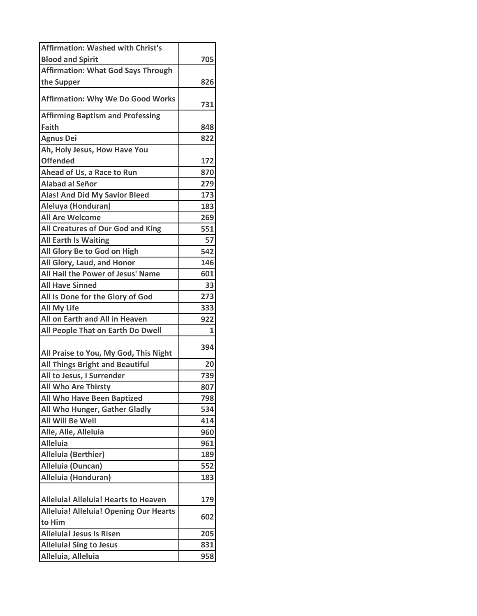| <b>Affirmation: Washed with Christ's</b>                   |            |
|------------------------------------------------------------|------------|
| <b>Blood and Spirit</b>                                    | 705        |
| <b>Affirmation: What God Says Through</b>                  |            |
| the Supper                                                 | 826        |
| <b>Affirmation: Why We Do Good Works</b>                   |            |
|                                                            | 731        |
| <b>Affirming Baptism and Professing</b><br><b>Faith</b>    | 848        |
|                                                            | 822        |
| <b>Agnus Dei</b>                                           |            |
| Ah, Holy Jesus, How Have You<br><b>Offended</b>            | 172        |
| Ahead of Us, a Race to Run                                 |            |
| <b>Alabad al Señor</b>                                     | 870<br>279 |
|                                                            |            |
| <b>Alas! And Did My Savior Bleed</b><br>Aleluya (Honduran) | 173        |
| <b>All Are Welcome</b>                                     | 183        |
| All Creatures of Our God and King                          | 269<br>551 |
| <b>All Earth Is Waiting</b>                                | 57         |
| All Glory Be to God on High                                | 542        |
| All Glory, Laud, and Honor                                 |            |
| All Hail the Power of Jesus' Name                          | 146<br>601 |
| <b>All Have Sinned</b>                                     | 33         |
|                                                            | 273        |
| All Is Done for the Glory of God<br><b>All My Life</b>     | 333        |
| All on Earth and All in Heaven                             | 922        |
| All People That on Earth Do Dwell                          | 1          |
|                                                            |            |
| All Praise to You, My God, This Night                      | 394        |
| <b>All Things Bright and Beautiful</b>                     | 20         |
| All to Jesus, I Surrender                                  | 739        |
| <b>All Who Are Thirsty</b>                                 | 807        |
| <b>All Who Have Been Baptized</b>                          | 798        |
| All Who Hunger, Gather Gladly                              | 534        |
| <b>All Will Be Well</b>                                    | 414        |
| Alle, Alle, Alleluia                                       | 960        |
| <b>Alleluia</b>                                            | 961        |
| <b>Alleluia (Berthier)</b>                                 | 189        |
| Alleluia (Duncan)                                          | 552        |
| Alleluia (Honduran)                                        | 183        |
|                                                            |            |
| <b>Alleluia! Alleluia! Hearts to Heaven</b>                | 179        |
| <b>Alleluia! Alleluia! Opening Our Hearts</b><br>to Him    | 602        |
| <b>Alleluia! Jesus Is Risen</b>                            | 205        |
| <b>Alleluia! Sing to Jesus</b>                             | 831        |
| Alleluia, Alleluia                                         | 958        |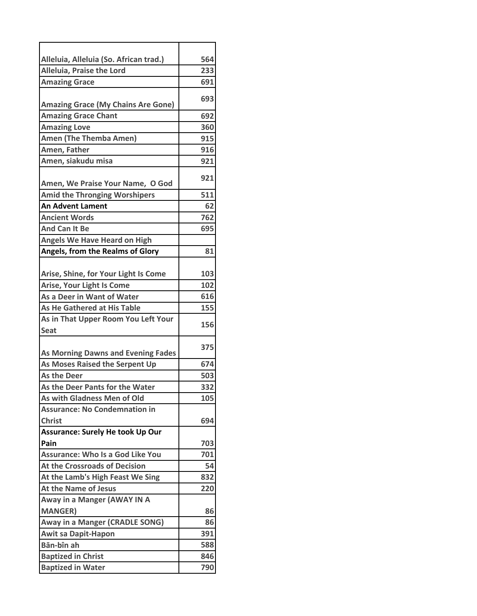| Alleluia, Alleluia (So. African trad.)    | 564 |
|-------------------------------------------|-----|
| Alleluia, Praise the Lord                 | 233 |
| <b>Amazing Grace</b>                      | 691 |
|                                           | 693 |
| <b>Amazing Grace (My Chains Are Gone)</b> |     |
| <b>Amazing Grace Chant</b>                | 692 |
| <b>Amazing Love</b>                       | 360 |
| <b>Amen (The Themba Amen)</b>             | 915 |
| Amen, Father                              | 916 |
| Amen, siakudu misa                        | 921 |
|                                           | 921 |
| Amen, We Praise Your Name, O God          |     |
| <b>Amid the Thronging Worshipers</b>      | 511 |
| <b>An Advent Lament</b>                   | 62  |
| <b>Ancient Words</b>                      | 762 |
| <b>And Can It Be</b>                      | 695 |
| <b>Angels We Have Heard on High</b>       |     |
| Angels, from the Realms of Glory          | 81  |
|                                           |     |
| Arise, Shine, for Your Light Is Come      | 103 |
| <b>Arise, Your Light Is Come</b>          | 102 |
| As a Deer in Want of Water                | 616 |
| As He Gathered at His Table               | 155 |
| As in That Upper Room You Left Your       | 156 |
| Seat                                      |     |
|                                           | 375 |
| <b>As Morning Dawns and Evening Fades</b> |     |
| As Moses Raised the Serpent Up            | 674 |
| <b>As the Deer</b>                        | 503 |
| As the Deer Pants for the Water           | 332 |
| As with Gladness Men of Old               | 105 |
| <b>Assurance: No Condemnation in</b>      |     |
| <b>Christ</b>                             | 694 |
| <b>Assurance: Surely He took Up Our</b>   |     |
| Pain                                      | 703 |
| <b>Assurance: Who Is a God Like You</b>   | 701 |
| At the Crossroads of Decision             | 54  |
| At the Lamb's High Feast We Sing          | 832 |
| <b>At the Name of Jesus</b>               | 220 |
| Away in a Manger (AWAY IN A               |     |
| <b>MANGER)</b>                            | 86  |
| <b>Away in a Manger (CRADLE SONG)</b>     | 86  |
| <b>Awit sa Dapit-Hapon</b>                | 391 |
| Bān-bîn ah                                | 588 |
| <b>Baptized in Christ</b>                 | 846 |
| <b>Baptized in Water</b>                  | 790 |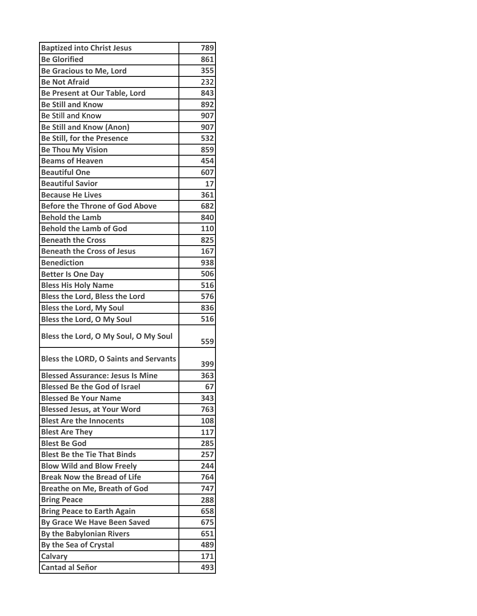| <b>Baptized into Christ Jesus</b>            | 789 |
|----------------------------------------------|-----|
| <b>Be Glorified</b>                          | 861 |
| <b>Be Gracious to Me, Lord</b>               | 355 |
| <b>Be Not Afraid</b>                         | 232 |
| Be Present at Our Table, Lord                | 843 |
| <b>Be Still and Know</b>                     | 892 |
| Be Still and Know                            | 907 |
| <b>Be Still and Know (Anon)</b>              | 907 |
| <b>Be Still, for the Presence</b>            | 532 |
| <b>Be Thou My Vision</b>                     | 859 |
| <b>Beams of Heaven</b>                       | 454 |
| <b>Beautiful One</b>                         | 607 |
| <b>Beautiful Savior</b>                      | 17  |
| <b>Because He Lives</b>                      | 361 |
| <b>Before the Throne of God Above</b>        | 682 |
| <b>Behold the Lamb</b>                       | 840 |
| <b>Behold the Lamb of God</b>                | 110 |
| <b>Beneath the Cross</b>                     | 825 |
| <b>Beneath the Cross of Jesus</b>            | 167 |
| <b>Benediction</b>                           | 938 |
| <b>Better Is One Day</b>                     | 506 |
| <b>Bless His Holy Name</b>                   | 516 |
| Bless the Lord, Bless the Lord               | 576 |
| <b>Bless the Lord, My Soul</b>               | 836 |
| Bless the Lord, O My Soul                    | 516 |
| Bless the Lord, O My Soul, O My Soul         | 559 |
| <b>Bless the LORD, O Saints and Servants</b> | 399 |
| <b>Blessed Assurance: Jesus Is Mine</b>      | 363 |
| <b>Blessed Be the God of Israel</b>          | 67  |
| <b>Blessed Be Your Name</b>                  | 343 |
| <b>Blessed Jesus, at Your Word</b>           | 763 |
| <b>Blest Are the Innocents</b>               | 108 |
| <b>Blest Are They</b>                        | 117 |
| <b>Blest Be God</b>                          | 285 |
| <b>Blest Be the Tie That Binds</b>           | 257 |
| <b>Blow Wild and Blow Freely</b>             | 244 |
| <b>Break Now the Bread of Life</b>           | 764 |
| <b>Breathe on Me, Breath of God</b>          | 747 |
| <b>Bring Peace</b>                           | 288 |
| <b>Bring Peace to Earth Again</b>            | 658 |
| By Grace We Have Been Saved                  | 675 |
| <b>By the Babylonian Rivers</b>              | 651 |
| By the Sea of Crystal                        | 489 |
| <b>Calvary</b><br><b>Cantad al Señor</b>     | 171 |
|                                              | 493 |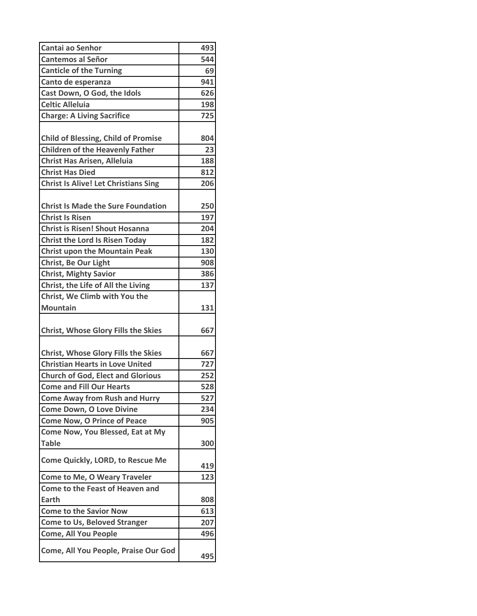| Cantai ao Senhor                            | 493 |
|---------------------------------------------|-----|
| <b>Cantemos al Señor</b>                    | 544 |
| <b>Canticle of the Turning</b>              | 69  |
| Canto de esperanza                          | 941 |
| Cast Down, O God, the Idols                 | 626 |
| <b>Celtic Alleluia</b>                      | 198 |
| <b>Charge: A Living Sacrifice</b>           | 725 |
|                                             |     |
| <b>Child of Blessing, Child of Promise</b>  | 804 |
| <b>Children of the Heavenly Father</b>      | 23  |
| <b>Christ Has Arisen, Alleluia</b>          | 188 |
| <b>Christ Has Died</b>                      | 812 |
| <b>Christ Is Alive! Let Christians Sing</b> | 206 |
|                                             |     |
| <b>Christ Is Made the Sure Foundation</b>   | 250 |
| <b>Christ Is Risen</b>                      | 197 |
| <b>Christ is Risen! Shout Hosanna</b>       | 204 |
| <b>Christ the Lord Is Risen Today</b>       | 182 |
| <b>Christ upon the Mountain Peak</b>        | 130 |
| Christ, Be Our Light                        | 908 |
| <b>Christ, Mighty Savior</b>                | 386 |
| Christ, the Life of All the Living          | 137 |
| Christ, We Climb with You the               |     |
| <b>Mountain</b>                             | 131 |
|                                             |     |
| <b>Christ, Whose Glory Fills the Skies</b>  | 667 |
|                                             |     |
| <b>Christ, Whose Glory Fills the Skies</b>  | 667 |
| <b>Christian Hearts in Love United</b>      | 727 |
| <b>Church of God, Elect and Glorious</b>    | 252 |
| <b>Come and Fill Our Hearts</b>             | 528 |
| <b>Come Away from Rush and Hurry</b>        | 527 |
| <b>Come Down, O Love Divine</b>             | 234 |
| <b>Come Now, O Prince of Peace</b>          | 905 |
| Come Now, You Blessed, Eat at My            |     |
| <b>Table</b>                                | 300 |
| <b>Come Quickly, LORD, to Rescue Me</b>     | 419 |
| <b>Come to Me, O Weary Traveler</b>         | 123 |
| <b>Come to the Feast of Heaven and</b>      |     |
| Earth                                       | 808 |
| <b>Come to the Savior Now</b>               | 613 |
| <b>Come to Us, Beloved Stranger</b>         | 207 |
| <b>Come, All You People</b>                 | 496 |
|                                             |     |
| Come, All You People, Praise Our God        | 495 |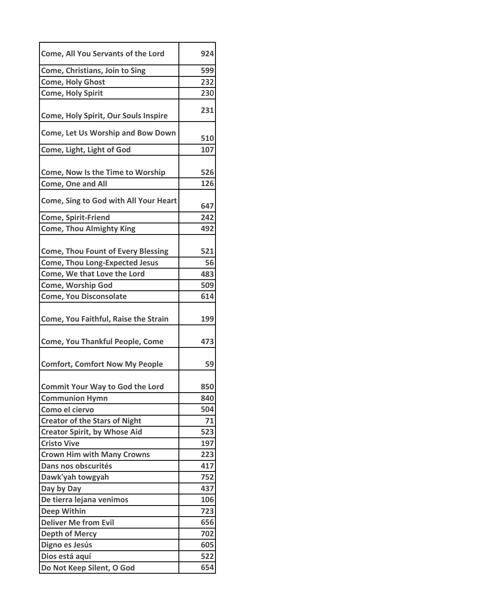| Come, All You Servants of the Lord        | 924 |
|-------------------------------------------|-----|
| Come, Christians, Join to Sing            | 599 |
| <b>Come, Holy Ghost</b>                   | 232 |
| <b>Come, Holy Spirit</b>                  | 230 |
| Come, Holy Spirit, Our Souls Inspire      | 231 |
| <b>Come, Let Us Worship and Bow Down</b>  | 510 |
| Come, Light, Light of God                 | 107 |
| Come, Now Is the Time to Worship          | 526 |
| Come, One and All                         | 126 |
| Come, Sing to God with All Your Heart     | 647 |
| <b>Come, Spirit-Friend</b>                | 242 |
| <b>Come, Thou Almighty King</b>           | 492 |
| <b>Come, Thou Fount of Every Blessing</b> | 521 |
| <b>Come, Thou Long-Expected Jesus</b>     | 56  |
| Come, We that Love the Lord               | 483 |
| <b>Come, Worship God</b>                  | 509 |
| <b>Come, You Disconsolate</b>             | 614 |
| Come, You Faithful, Raise the Strain      | 199 |
| <b>Come, You Thankful People, Come</b>    | 473 |
| <b>Comfort, Comfort Now My People</b>     | 59  |
| <b>Commit Your Way to God the Lord</b>    | 850 |
| <b>Communion Hymn</b>                     | 840 |
| Como el ciervo                            | 504 |
| <b>Creator of the Stars of Night</b>      | 71  |
| <b>Creator Spirit, by Whose Aid</b>       | 523 |
| <b>Cristo Vive</b>                        | 197 |
| <b>Crown Him with Many Crowns</b>         | 223 |
| Dans nos obscurités                       | 417 |
| Dawk'yah towgyah                          | 752 |
| Day by Day                                | 437 |
| De tierra lejana venimos                  | 106 |
| <b>Deep Within</b>                        | 723 |
| <b>Deliver Me from Evil</b>               | 656 |
| <b>Depth of Mercy</b>                     | 702 |
| Digno es Jesús                            | 605 |
| Dios está aquí                            | 522 |
| Do Not Keep Silent, O God                 | 654 |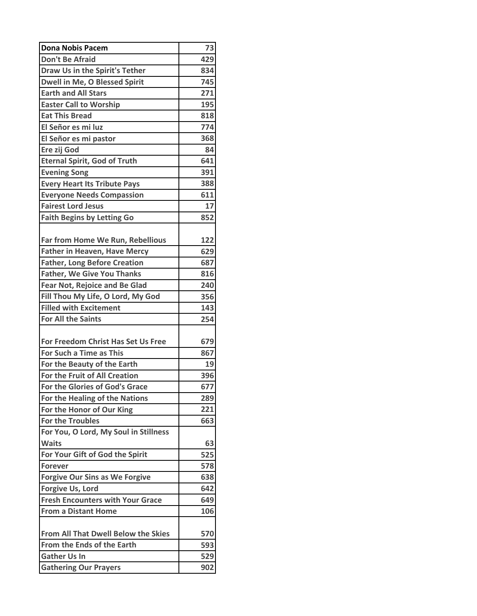| <b>Dona Nobis Pacem</b>                    | 73  |
|--------------------------------------------|-----|
| <b>Don't Be Afraid</b>                     | 429 |
| Draw Us in the Spirit's Tether             | 834 |
| Dwell in Me, O Blessed Spirit              | 745 |
| <b>Earth and All Stars</b>                 | 271 |
| <b>Easter Call to Worship</b>              | 195 |
| <b>Eat This Bread</b>                      | 818 |
| El Señor es mi luz                         | 774 |
| El Señor es mi pastor                      | 368 |
| Ere zij God                                | 84  |
| <b>Eternal Spirit, God of Truth</b>        | 641 |
| <b>Evening Song</b>                        | 391 |
| <b>Every Heart Its Tribute Pays</b>        | 388 |
| <b>Everyone Needs Compassion</b>           | 611 |
| <b>Fairest Lord Jesus</b>                  | 17  |
| <b>Faith Begins by Letting Go</b>          | 852 |
|                                            |     |
| Far from Home We Run, Rebellious           | 122 |
| <b>Father in Heaven, Have Mercy</b>        | 629 |
| <b>Father, Long Before Creation</b>        | 687 |
| <b>Father, We Give You Thanks</b>          | 816 |
| <b>Fear Not, Rejoice and Be Glad</b>       | 240 |
| Fill Thou My Life, O Lord, My God          | 356 |
| <b>Filled with Excitement</b>              | 143 |
| <b>For All the Saints</b>                  | 254 |
|                                            |     |
| For Freedom Christ Has Set Us Free         | 679 |
| For Such a Time as This                    | 867 |
| For the Beauty of the Earth                | 19  |
| For the Fruit of All Creation              | 396 |
| For the Glories of God's Grace             | 677 |
| For the Healing of the Nations             | 289 |
| For the Honor of Our King                  | 221 |
| <b>For the Troubles</b>                    | 663 |
| For You, O Lord, My Soul in Stillness      |     |
| <b>Waits</b>                               | 63  |
| For Your Gift of God the Spirit            | 525 |
| <b>Forever</b>                             | 578 |
| <b>Forgive Our Sins as We Forgive</b>      | 638 |
| Forgive Us, Lord                           | 642 |
| <b>Fresh Encounters with Your Grace</b>    | 649 |
| <b>From a Distant Home</b>                 | 106 |
|                                            |     |
| <b>From All That Dwell Below the Skies</b> | 570 |
| From the Ends of the Earth                 | 593 |
| <b>Gather Us In</b>                        | 529 |
| <b>Gathering Our Prayers</b>               | 902 |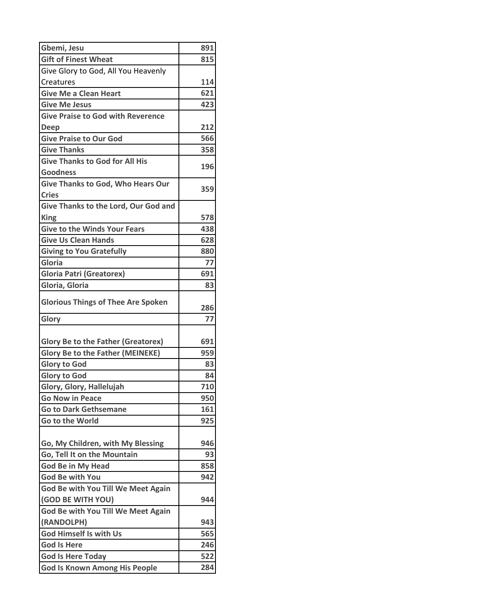| Gbemi, Jesu                               | 891 |
|-------------------------------------------|-----|
| <b>Gift of Finest Wheat</b>               | 815 |
| Give Glory to God, All You Heavenly       |     |
| Creatures                                 | 114 |
| <b>Give Me a Clean Heart</b>              | 621 |
| <b>Give Me Jesus</b>                      | 423 |
| <b>Give Praise to God with Reverence</b>  |     |
| <b>Deep</b>                               | 212 |
| <b>Give Praise to Our God</b>             | 566 |
| <b>Give Thanks</b>                        | 358 |
| <b>Give Thanks to God for All His</b>     | 196 |
| Goodness                                  |     |
| <b>Give Thanks to God, Who Hears Our</b>  | 359 |
| <b>Cries</b>                              |     |
| Give Thanks to the Lord, Our God and      |     |
| <b>King</b>                               | 578 |
| <b>Give to the Winds Your Fears</b>       | 438 |
| <b>Give Us Clean Hands</b>                | 628 |
| <b>Giving to You Gratefully</b>           | 880 |
| Gloria                                    | 77  |
| <b>Gloria Patri (Greatorex)</b>           | 691 |
| Gloria, Gloria                            | 83  |
| <b>Glorious Things of Thee Are Spoken</b> |     |
|                                           | 286 |
| Glory                                     | 77  |
|                                           |     |
| <b>Glory Be to the Father (Greatorex)</b> | 691 |
| <b>Glory Be to the Father (MEINEKE)</b>   | 959 |
| <b>Glory to God</b>                       | 83  |
| <b>Glory to God</b>                       | 84  |
| Glory, Glory, Hallelujah                  | 710 |
| <b>Go Now in Peace</b>                    | 950 |
| <b>Go to Dark Gethsemane</b>              | 161 |
| <b>Go to the World</b>                    | 925 |
|                                           |     |
| Go, My Children, with My Blessing         | 946 |
| Go, Tell It on the Mountain               | 93  |
| <b>God Be in My Head</b>                  | 858 |
| <b>God Be with You</b>                    | 942 |
| God Be with You Till We Meet Again        |     |
| (GOD BE WITH YOU)                         | 944 |
| God Be with You Till We Meet Again        |     |
| (RANDOLPH)                                | 943 |
| <b>God Himself Is with Us</b>             | 565 |
| <b>God Is Here</b>                        | 246 |
| <b>God Is Here Today</b>                  | 522 |
| <b>God Is Known Among His People</b>      | 284 |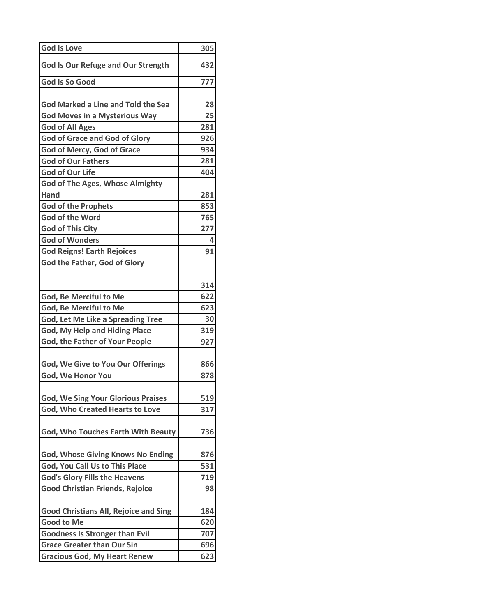| <b>God Is Love</b>                           | 305 |
|----------------------------------------------|-----|
| <b>God Is Our Refuge and Our Strength</b>    | 432 |
| <b>God Is So Good</b>                        | 777 |
|                                              |     |
| <b>God Marked a Line and Told the Sea</b>    | 28  |
| <b>God Moves in a Mysterious Way</b>         | 25  |
| <b>God of All Ages</b>                       | 281 |
| <b>God of Grace and God of Glory</b>         | 926 |
| God of Mercy, God of Grace                   | 934 |
| <b>God of Our Fathers</b>                    | 281 |
| <b>God of Our Life</b>                       | 404 |
| <b>God of The Ages, Whose Almighty</b>       |     |
| Hand                                         | 281 |
| <b>God of the Prophets</b>                   | 853 |
| <b>God of the Word</b>                       | 765 |
| <b>God of This City</b>                      | 277 |
| <b>God of Wonders</b>                        | 4   |
| <b>God Reigns! Earth Rejoices</b>            | 91  |
| God the Father, God of Glory                 |     |
|                                              |     |
|                                              | 314 |
| God, Be Merciful to Me                       | 622 |
| God, Be Merciful to Me                       | 623 |
| <b>God, Let Me Like a Spreading Tree</b>     | 30  |
| God, My Help and Hiding Place                | 319 |
| God, the Father of Your People               | 927 |
|                                              |     |
| God, We Give to You Our Offerings            | 866 |
| God, We Honor You                            | 878 |
|                                              |     |
| <b>God, We Sing Your Glorious Praises</b>    | 519 |
| God, Who Created Hearts to Love              | 317 |
|                                              |     |
| God, Who Touches Earth With Beauty           | 736 |
|                                              |     |
| <b>God, Whose Giving Knows No Ending</b>     | 876 |
| God, You Call Us to This Place               | 531 |
| <b>God's Glory Fills the Heavens</b>         | 719 |
| <b>Good Christian Friends, Rejoice</b>       | 98  |
|                                              |     |
| <b>Good Christians All, Rejoice and Sing</b> | 184 |
| <b>Good to Me</b>                            | 620 |
| <b>Goodness Is Stronger than Evil</b>        | 707 |
| <b>Grace Greater than Our Sin</b>            | 696 |
| <b>Gracious God, My Heart Renew</b>          | 623 |
|                                              |     |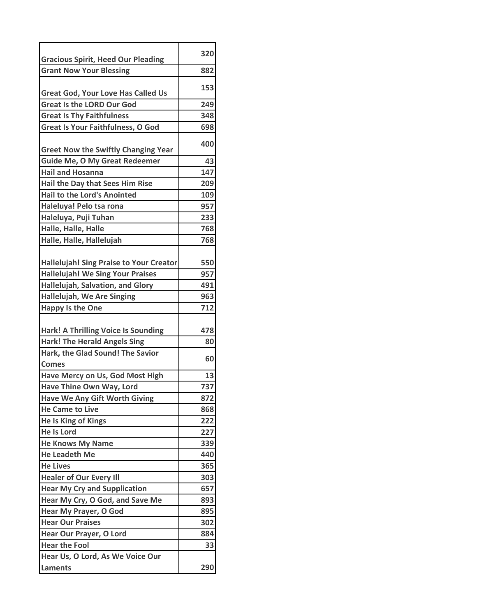|                                                                             | 320 |
|-----------------------------------------------------------------------------|-----|
| <b>Gracious Spirit, Heed Our Pleading</b><br><b>Grant Now Your Blessing</b> | 882 |
|                                                                             |     |
| <b>Great God, Your Love Has Called Us</b>                                   | 153 |
| <b>Great Is the LORD Our God</b>                                            | 249 |
| <b>Great Is Thy Faithfulness</b>                                            | 348 |
| <b>Great Is Your Faithfulness, O God</b>                                    | 698 |
| <b>Greet Now the Swiftly Changing Year</b>                                  | 400 |
| <b>Guide Me, O My Great Redeemer</b>                                        | 43  |
| <b>Hail and Hosanna</b>                                                     | 147 |
| Hail the Day that Sees Him Rise                                             | 209 |
| <b>Hail to the Lord's Anointed</b>                                          | 109 |
| Haleluya! Pelo tsa rona                                                     | 957 |
| Haleluya, Puji Tuhan                                                        | 233 |
| Halle, Halle, Halle                                                         | 768 |
| Halle, Halle, Hallelujah                                                    | 768 |
|                                                                             |     |
| <b>Hallelujah! Sing Praise to Your Creator</b>                              | 550 |
| <b>Hallelujah! We Sing Your Praises</b>                                     | 957 |
| Hallelujah, Salvation, and Glory                                            | 491 |
| <b>Hallelujah, We Are Singing</b>                                           | 963 |
| <b>Happy Is the One</b>                                                     | 712 |
| <b>Hark! A Thrilling Voice Is Sounding</b>                                  | 478 |
| <b>Hark! The Herald Angels Sing</b>                                         | 80  |
| Hark, the Glad Sound! The Savior                                            |     |
| <b>Comes</b>                                                                | 60  |
| Have Mercy on Us, God Most High                                             | 13  |
| Have Thine Own Way, Lord                                                    | 737 |
| <b>Have We Any Gift Worth Giving</b>                                        | 872 |
| <b>He Came to Live</b>                                                      | 868 |
| He Is King of Kings                                                         | 222 |
| <b>He Is Lord</b>                                                           | 227 |
| <b>He Knows My Name</b>                                                     | 339 |
| <b>He Leadeth Me</b>                                                        | 440 |
| <b>He Lives</b>                                                             | 365 |
| <b>Healer of Our Every III</b>                                              | 303 |
| <b>Hear My Cry and Supplication</b>                                         | 657 |
| Hear My Cry, O God, and Save Me                                             | 893 |
| Hear My Prayer, O God                                                       | 895 |
| <b>Hear Our Praises</b>                                                     | 302 |
| Hear Our Prayer, O Lord                                                     | 884 |
| <b>Hear the Fool</b>                                                        | 33  |
| Hear Us, O Lord, As We Voice Our                                            |     |
| <b>Laments</b>                                                              | 290 |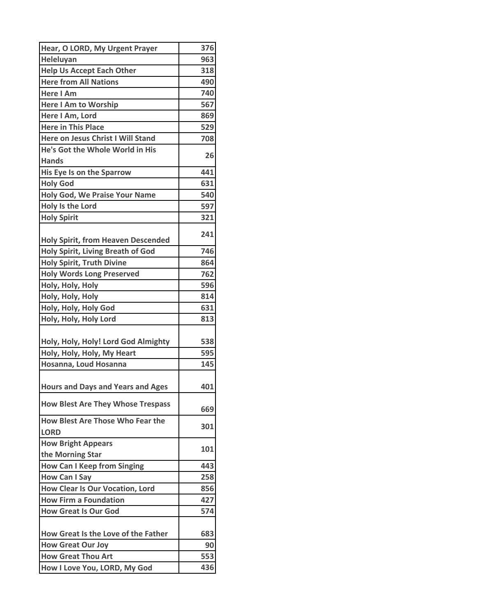| Hear, O LORD, My Urgent Prayer                         | 376 |
|--------------------------------------------------------|-----|
| Heleluyan                                              | 963 |
| <b>Help Us Accept Each Other</b>                       | 318 |
| <b>Here from All Nations</b>                           | 490 |
| <b>Here I Am</b>                                       | 740 |
| <b>Here I Am to Worship</b>                            | 567 |
| Here I Am, Lord                                        | 869 |
| <b>Here in This Place</b>                              | 529 |
| Here on Jesus Christ I Will Stand                      | 708 |
| He's Got the Whole World in His                        |     |
| <b>Hands</b>                                           | 26  |
| His Eye Is on the Sparrow                              | 441 |
| <b>Holy God</b>                                        | 631 |
| <b>Holy God, We Praise Your Name</b>                   | 540 |
| <b>Holy Is the Lord</b>                                | 597 |
| <b>Holy Spirit</b>                                     | 321 |
| <b>Holy Spirit, from Heaven Descended</b>              | 241 |
| <b>Holy Spirit, Living Breath of God</b>               | 746 |
| <b>Holy Spirit, Truth Divine</b>                       | 864 |
| <b>Holy Words Long Preserved</b>                       | 762 |
| Holy, Holy, Holy                                       | 596 |
| Holy, Holy, Holy                                       | 814 |
| Holy, Holy, Holy God                                   | 631 |
| Holy, Holy, Holy Lord                                  | 813 |
|                                                        |     |
| Holy, Holy, Holy! Lord God Almighty                    | 538 |
| Holy, Holy, Holy, My Heart                             | 595 |
| Hosanna, Loud Hosanna                                  | 145 |
| <b>Hours and Days and Years and Ages</b>               | 401 |
| <b>How Blest Are They Whose Trespass</b>               | 669 |
| <b>How Blest Are Those Who Fear the</b><br><b>LORD</b> | 301 |
| <b>How Bright Appears</b>                              | 101 |
| the Morning Star                                       |     |
| <b>How Can I Keep from Singing</b>                     | 443 |
| <b>How Can I Say</b>                                   | 258 |
| <b>How Clear Is Our Vocation, Lord</b>                 | 856 |
| <b>How Firm a Foundation</b>                           | 427 |
| <b>How Great Is Our God</b>                            | 574 |
| How Great Is the Love of the Father                    | 683 |
| <b>How Great Our Joy</b>                               | 90  |
| <b>How Great Thou Art</b>                              | 553 |
| How I Love You, LORD, My God                           | 436 |
|                                                        |     |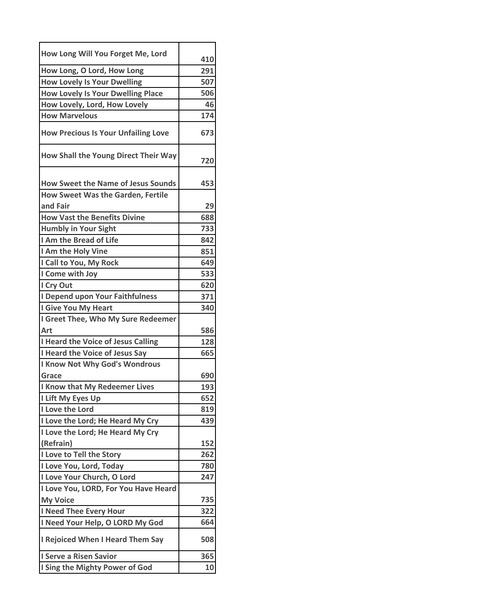| How Long Will You Forget Me, Lord                    | 410        |
|------------------------------------------------------|------------|
| How Long, O Lord, How Long                           | 291        |
| <b>How Lovely Is Your Dwelling</b>                   | 507        |
| <b>How Lovely Is Your Dwelling Place</b>             | 506        |
| How Lovely, Lord, How Lovely                         | 46         |
| <b>How Marvelous</b>                                 | 174        |
| <b>How Precious Is Your Unfailing Love</b>           | 673        |
| How Shall the Young Direct Their Way                 | 720        |
| <b>How Sweet the Name of Jesus Sounds</b>            | 453        |
| <b>How Sweet Was the Garden, Fertile</b><br>and Fair |            |
| <b>How Vast the Benefits Divine</b>                  | 29         |
| <b>Humbly in Your Sight</b>                          | 688<br>733 |
| I Am the Bread of Life                               | 842        |
| I Am the Holy Vine                                   | 851        |
| I Call to You, My Rock                               | 649        |
| I Come with Joy                                      | 533        |
| I Cry Out                                            | 620        |
| I Depend upon Your Faithfulness                      | 371        |
| I Give You My Heart                                  | 340        |
| I Greet Thee, Who My Sure Redeemer                   |            |
| Art                                                  | 586        |
| I Heard the Voice of Jesus Calling                   | 128        |
| I Heard the Voice of Jesus Say                       | 665        |
| <b>I Know Not Why God's Wondrous</b>                 |            |
| Grace                                                | 690        |
| I Know that My Redeemer Lives                        | 193        |
| I Lift My Eyes Up                                    | 652        |
| I Love the Lord                                      | 819        |
| I Love the Lord; He Heard My Cry                     | 439        |
| I Love the Lord; He Heard My Cry                     |            |
| (Refrain)                                            | 152        |
| I Love to Tell the Story                             | 262        |
| I Love You, Lord, Today                              | 780        |
| I Love Your Church, O Lord                           | 247        |
| I Love You, LORD, For You Have Heard                 |            |
| <b>My Voice</b>                                      | 735        |
| I Need Thee Every Hour                               | 322        |
| I Need Your Help, O LORD My God                      | 664        |
| I Rejoiced When I Heard Them Say                     | 508        |
| I Serve a Risen Savior                               | 365        |
| I Sing the Mighty Power of God                       | 10         |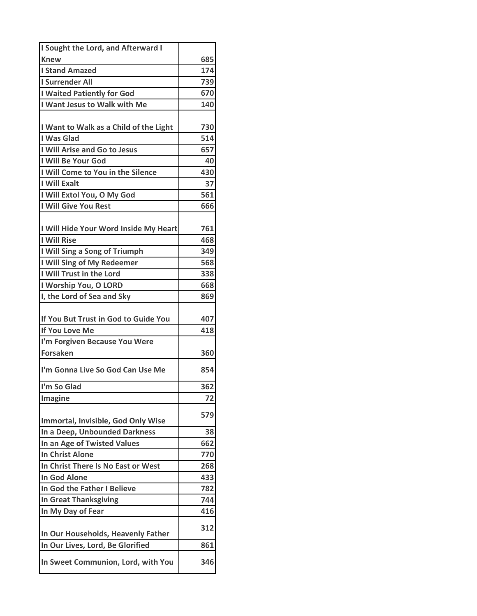| I Sought the Lord, and Afterward I        |     |
|-------------------------------------------|-----|
| <b>Knew</b>                               | 685 |
| <b>I Stand Amazed</b>                     | 174 |
| <b>I Surrender All</b>                    | 739 |
| <b>I Waited Patiently for God</b>         | 670 |
| I Want Jesus to Walk with Me              | 140 |
|                                           |     |
| I Want to Walk as a Child of the Light    | 730 |
| I Was Glad                                | 514 |
| I Will Arise and Go to Jesus              | 657 |
| I Will Be Your God                        | 40  |
| I Will Come to You in the Silence         | 430 |
| <b>I Will Exalt</b>                       | 37  |
| I Will Extol You, O My God                | 561 |
| I Will Give You Rest                      | 666 |
|                                           |     |
| I Will Hide Your Word Inside My Heart     | 761 |
| <b>I Will Rise</b>                        | 468 |
| I Will Sing a Song of Triumph             | 349 |
| I Will Sing of My Redeemer                | 568 |
| I Will Trust in the Lord                  | 338 |
| I Worship You, O LORD                     | 668 |
| I, the Lord of Sea and Sky                | 869 |
|                                           |     |
| If You But Trust in God to Guide You      | 407 |
| If You Love Me                            | 418 |
| I'm Forgiven Because You Were             |     |
| <b>Forsaken</b>                           | 360 |
| I'm Gonna Live So God Can Use Me          | 854 |
| I'm So Glad                               |     |
|                                           |     |
|                                           | 362 |
| Imagine                                   | 72  |
| <b>Immortal, Invisible, God Only Wise</b> | 579 |
| In a Deep, Unbounded Darkness             | 38  |
| In an Age of Twisted Values               | 662 |
| <b>In Christ Alone</b>                    | 770 |
| In Christ There Is No East or West        | 268 |
| <b>In God Alone</b>                       | 433 |
| In God the Father I Believe               | 782 |
| <b>In Great Thanksgiving</b>              | 744 |
|                                           | 416 |
| In My Day of Fear                         | 312 |
| In Our Households, Heavenly Father        |     |
| In Our Lives, Lord, Be Glorified          | 861 |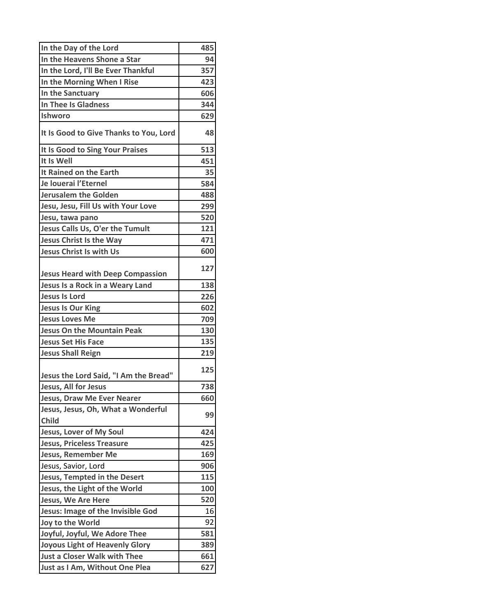| In the Day of the Lord                             | 485 |
|----------------------------------------------------|-----|
| In the Heavens Shone a Star                        | 94  |
| In the Lord, I'll Be Ever Thankful                 | 357 |
| In the Morning When I Rise                         | 423 |
| In the Sanctuary                                   | 606 |
| In Thee Is Gladness                                | 344 |
| Ishworo                                            | 629 |
| It Is Good to Give Thanks to You, Lord             | 48  |
| It Is Good to Sing Your Praises                    | 513 |
| It Is Well                                         | 451 |
| It Rained on the Earth                             | 35  |
| Je louerai l'Eternel                               | 584 |
| <b>Jerusalem the Golden</b>                        | 488 |
| Jesu, Jesu, Fill Us with Your Love                 | 299 |
| Jesu, tawa pano                                    | 520 |
| Jesus Calls Us, O'er the Tumult                    | 121 |
| <b>Jesus Christ Is the Way</b>                     | 471 |
| <b>Jesus Christ Is with Us</b>                     | 600 |
| <b>Jesus Heard with Deep Compassion</b>            | 127 |
| Jesus Is a Rock in a Weary Land                    | 138 |
| <b>Jesus Is Lord</b>                               | 226 |
| <b>Jesus Is Our King</b>                           | 602 |
| <b>Jesus Loves Me</b>                              | 709 |
| <b>Jesus On the Mountain Peak</b>                  | 130 |
| <b>Jesus Set His Face</b>                          | 135 |
| <b>Jesus Shall Reign</b>                           | 219 |
| Jesus the Lord Said, "I Am the Bread"              | 125 |
| Jesus, All for Jesus                               | 738 |
| Jesus, Draw Me Ever Nearer                         | 660 |
| Jesus, Jesus, Oh, What a Wonderful<br><b>Child</b> | 99  |
| Jesus, Lover of My Soul                            | 424 |
| <b>Jesus, Priceless Treasure</b>                   | 425 |
| <b>Jesus, Remember Me</b>                          | 169 |
| Jesus, Savior, Lord                                | 906 |
| Jesus, Tempted in the Desert                       | 115 |
| Jesus, the Light of the World                      | 100 |
| Jesus, We Are Here                                 | 520 |
| Jesus: Image of the Invisible God                  | 16  |
| Joy to the World                                   | 92  |
| Joyful, Joyful, We Adore Thee                      | 581 |
| <b>Joyous Light of Heavenly Glory</b>              | 389 |
| <b>Just a Closer Walk with Thee</b>                | 661 |
| Just as I Am, Without One Plea                     | 627 |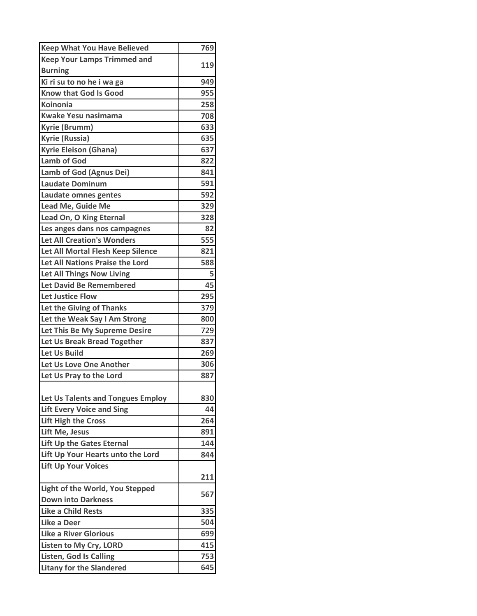| <b>Keep What You Have Believed</b> | 769 |
|------------------------------------|-----|
| <b>Keep Your Lamps Trimmed and</b> |     |
| <b>Burning</b>                     | 119 |
| Ki ri su to no he i wa ga          | 949 |
| <b>Know that God Is Good</b>       | 955 |
| <b>Koinonia</b>                    | 258 |
| <b>Kwake Yesu nasimama</b>         | 708 |
| Kyrie (Brumm)                      | 633 |
| <b>Kyrie (Russia)</b>              | 635 |
| <b>Kyrie Eleison (Ghana)</b>       | 637 |
| <b>Lamb of God</b>                 | 822 |
| Lamb of God (Agnus Dei)            | 841 |
| <b>Laudate Dominum</b>             | 591 |
| Laudate omnes gentes               | 592 |
| Lead Me, Guide Me                  | 329 |
| Lead On, O King Eternal            | 328 |
| Les anges dans nos campagnes       | 82  |
| <b>Let All Creation's Wonders</b>  | 555 |
| Let All Mortal Flesh Keep Silence  | 821 |
| Let All Nations Praise the Lord    | 588 |
| <b>Let All Things Now Living</b>   | 5   |
| Let David Be Remembered            | 45  |
| <b>Let Justice Flow</b>            | 295 |
| Let the Giving of Thanks           | 379 |
| Let the Weak Say I Am Strong       | 800 |
| Let This Be My Supreme Desire      | 729 |
| Let Us Break Bread Together        | 837 |
| Let Us Build                       | 269 |
| Let Us Love One Another            | 306 |
| Let Us Pray to the Lord            | 887 |
|                                    |     |
| Let Us Talents and Tongues Employ  | 830 |
| <b>Lift Every Voice and Sing</b>   | 44  |
| <b>Lift High the Cross</b>         | 264 |
| Lift Me, Jesus                     | 891 |
| Lift Up the Gates Eternal          | 144 |
| Lift Up Your Hearts unto the Lord  | 844 |
| <b>Lift Up Your Voices</b>         |     |
| Light of the World, You Stepped    | 211 |
| <b>Down into Darkness</b>          | 567 |
| <b>Like a Child Rests</b>          | 335 |
| Like a Deer                        | 504 |
| <b>Like a River Glorious</b>       | 699 |
| Listen to My Cry, LORD             | 415 |
| <b>Listen, God Is Calling</b>      | 753 |
| <b>Litany for the Slandered</b>    | 645 |
|                                    |     |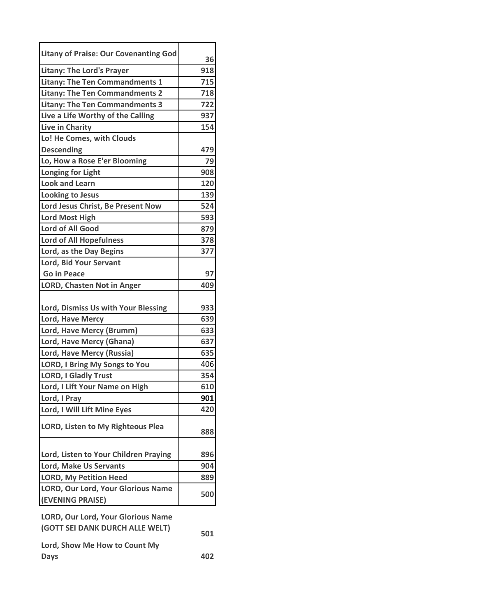| <b>Litany of Praise: Our Covenanting God</b>                                 | 36  |
|------------------------------------------------------------------------------|-----|
| <b>Litany: The Lord's Prayer</b>                                             | 918 |
| <b>Litany: The Ten Commandments 1</b>                                        | 715 |
| <b>Litany: The Ten Commandments 2</b>                                        | 718 |
| <b>Litany: The Ten Commandments 3</b>                                        | 722 |
| Live a Life Worthy of the Calling                                            | 937 |
| Live in Charity                                                              | 154 |
| Lo! He Comes, with Clouds                                                    |     |
| <b>Descending</b>                                                            | 479 |
| Lo, How a Rose E'er Blooming                                                 | 79  |
| <b>Longing for Light</b>                                                     | 908 |
| <b>Look and Learn</b>                                                        | 120 |
| <b>Looking to Jesus</b>                                                      | 139 |
| Lord Jesus Christ, Be Present Now                                            | 524 |
| <b>Lord Most High</b>                                                        | 593 |
| <b>Lord of All Good</b>                                                      | 879 |
| <b>Lord of All Hopefulness</b>                                               | 378 |
| Lord, as the Day Begins                                                      | 377 |
| <b>Lord, Bid Your Servant</b>                                                |     |
| <b>Go in Peace</b>                                                           | 97  |
| <b>LORD, Chasten Not in Anger</b>                                            | 409 |
|                                                                              |     |
| Lord, Dismiss Us with Your Blessing                                          | 933 |
| Lord, Have Mercy                                                             | 639 |
| Lord, Have Mercy (Brumm)                                                     | 633 |
| Lord, Have Mercy (Ghana)                                                     | 637 |
| Lord, Have Mercy (Russia)                                                    | 635 |
| <b>LORD, I Bring My Songs to You</b>                                         | 406 |
| <b>LORD, I Gladly Trust</b>                                                  | 354 |
| Lord, I Lift Your Name on High                                               | 610 |
| Lord, I Pray                                                                 | 901 |
| Lord, I Will Lift Mine Eyes                                                  | 420 |
|                                                                              |     |
| <b>LORD, Listen to My Righteous Plea</b>                                     | 888 |
|                                                                              |     |
| Lord, Listen to Your Children Praying                                        | 896 |
| <b>Lord, Make Us Servants</b>                                                | 904 |
| <b>LORD, My Petition Heed</b>                                                | 889 |
| LORD, Our Lord, Your Glorious Name                                           | 500 |
| (EVENING PRAISE)                                                             |     |
|                                                                              |     |
| <b>LORD, Our Lord, Your Glorious Name</b><br>(GOTT SEI DANK DURCH ALLE WELT) |     |
|                                                                              | 501 |
| Lord, Show Me How to Count My                                                |     |
|                                                                              |     |

**Days 402**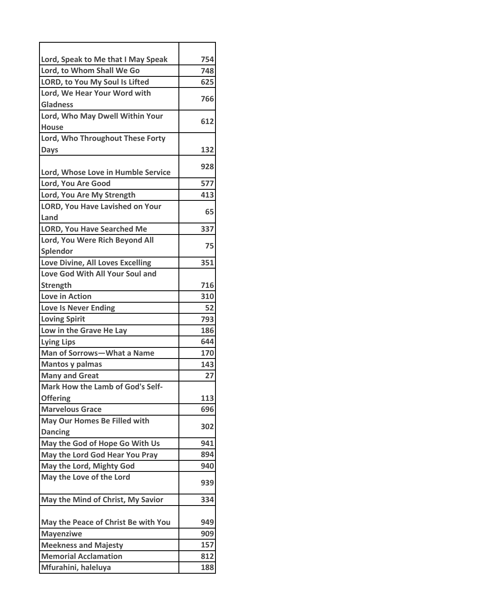| Lord, Speak to Me that I May Speak                    | 754 |
|-------------------------------------------------------|-----|
| Lord, to Whom Shall We Go                             | 748 |
| LORD, to You My Soul Is Lifted                        | 625 |
| Lord, We Hear Your Word with<br><b>Gladness</b>       | 766 |
| Lord, Who May Dwell Within Your                       | 612 |
| <b>House</b><br>Lord, Who Throughout These Forty      |     |
| <b>Days</b>                                           | 132 |
| Lord, Whose Love in Humble Service                    | 928 |
| Lord, You Are Good                                    | 577 |
| Lord, You Are My Strength                             | 413 |
| <b>LORD, You Have Lavished on Your</b><br>Land        | 65  |
| <b>LORD, You Have Searched Me</b>                     | 337 |
| Lord, You Were Rich Beyond All                        |     |
| Splendor                                              | 75  |
| Love Divine, All Loves Excelling                      | 351 |
| Love God With All Your Soul and                       |     |
| <b>Strength</b>                                       | 716 |
| <b>Love in Action</b>                                 | 310 |
| <b>Love Is Never Ending</b>                           | 52  |
| <b>Loving Spirit</b>                                  | 793 |
| Low in the Grave He Lay                               | 186 |
| <b>Lying Lips</b>                                     | 644 |
| Man of Sorrows-What a Name                            | 170 |
| <b>Mantos y palmas</b>                                | 143 |
| <b>Many and Great</b>                                 | 27  |
| Mark How the Lamb of God's Self-                      |     |
| <b>Offering</b>                                       | 113 |
| <b>Marvelous Grace</b>                                | 696 |
| <b>May Our Homes Be Filled with</b><br><b>Dancing</b> | 302 |
| May the God of Hope Go With Us                        | 941 |
| May the Lord God Hear You Pray                        | 894 |
| May the Lord, Mighty God                              | 940 |
| May the Love of the Lord                              | 939 |
| May the Mind of Christ, My Savior                     | 334 |
| May the Peace of Christ Be with You                   | 949 |
| <b>Mayenziwe</b>                                      | 909 |
| <b>Meekness and Majesty</b>                           | 157 |
| <b>Memorial Acclamation</b>                           | 812 |
| Mfurahini, haleluya                                   | 188 |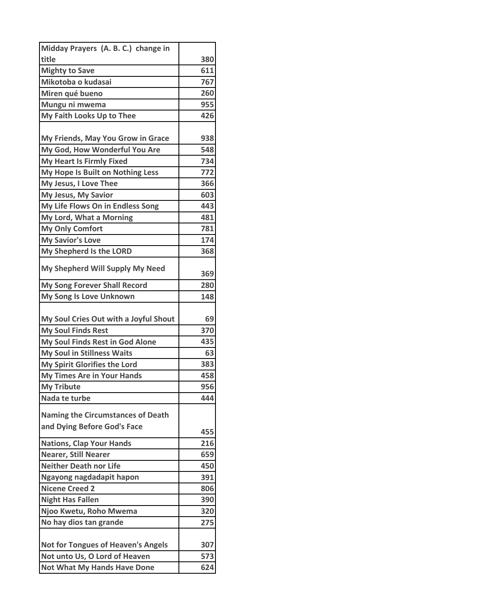| Midday Prayers (A. B. C.) change in                          |            |
|--------------------------------------------------------------|------------|
| title                                                        | 380        |
| <b>Mighty to Save</b>                                        | 611        |
| Mikotoba o kudasai                                           | 767        |
| Miren qué bueno                                              | 260        |
| Mungu ni mwema                                               | 955        |
| My Faith Looks Up to Thee                                    | 426        |
|                                                              |            |
| My Friends, May You Grow in Grace                            | 938        |
| My God, How Wonderful You Are                                | 548        |
| <b>My Heart Is Firmly Fixed</b>                              | 734        |
| My Hope Is Built on Nothing Less                             | 772        |
| My Jesus, I Love Thee                                        | 366        |
| My Jesus, My Savior                                          | 603        |
| My Life Flows On in Endless Song                             | 443        |
| My Lord, What a Morning                                      | 481        |
| <b>My Only Comfort</b>                                       | 781        |
| <b>My Savior's Love</b>                                      | 174        |
| My Shepherd Is the LORD                                      | 368        |
| My Shepherd Will Supply My Need                              | 369        |
| My Song Forever Shall Record                                 | 280        |
| My Song Is Love Unknown                                      | 148        |
|                                                              |            |
| My Soul Cries Out with a Joyful Shout                        | 69         |
| <b>My Soul Finds Rest</b>                                    | 370        |
| My Soul Finds Rest in God Alone                              | 435        |
| <b>My Soul in Stillness Waits</b>                            | 63         |
| My Spirit Glorifies the Lord                                 | 383        |
| <b>My Times Are in Your Hands</b>                            | 458        |
| <b>My Tribute</b>                                            | 956        |
| Nada te turbe                                                | 444        |
|                                                              |            |
| <b>Naming the Circumstances of Death</b>                     |            |
| and Dying Before God's Face                                  |            |
|                                                              | 455<br>216 |
| <b>Nations, Clap Your Hands</b>                              | 659        |
| <b>Nearer, Still Nearer</b><br><b>Neither Death nor Life</b> | 450        |
|                                                              | 391        |
| Ngayong nagdadapit hapon<br><b>Nicene Creed 2</b>            | 806        |
| <b>Night Has Fallen</b>                                      | 390        |
|                                                              | 320        |
| Njoo Kwetu, Roho Mwema<br>No hay dios tan grande             | 275        |
|                                                              |            |
| <b>Not for Tongues of Heaven's Angels</b>                    | 307        |
| Not unto Us, O Lord of Heaven                                | 573        |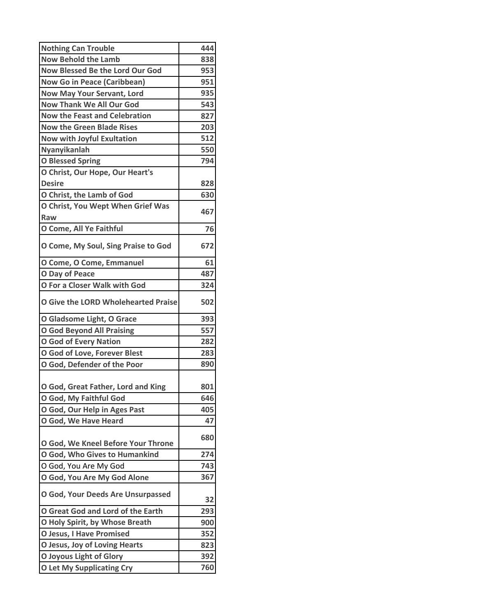| <b>Now Behold the Lamb</b><br>838<br><b>Now Blessed Be the Lord Our God</b><br>953<br><b>Now Go in Peace (Caribbean)</b><br>951<br>935<br><b>Now May Your Servant, Lord</b><br><b>Now Thank We All Our God</b><br>543<br><b>Now the Feast and Celebration</b><br>827<br><b>Now the Green Blade Rises</b><br>203<br>512<br>Now with Joyful Exultation<br>Nyanyikanlah<br>550<br>794<br><b>O Blessed Spring</b><br>O Christ, Our Hope, Our Heart's<br><b>Desire</b><br>828<br>630<br>O Christ, the Lamb of God<br>O Christ, You Wept When Grief Was<br>467<br>Raw<br>O Come, All Ye Faithful<br>76<br>O Come, My Soul, Sing Praise to God<br>672<br>O Come, O Come, Emmanuel<br>61<br>O Day of Peace<br>487<br>O For a Closer Walk with God<br>324<br><b>O Give the LORD Wholehearted Praise</b><br>502<br>O Gladsome Light, O Grace<br>393<br><b>O God Beyond All Praising</b><br>557<br><b>O God of Every Nation</b><br>282<br>283<br>O God of Love, Forever Blest<br>890<br>O God, Defender of the Poor<br>O God, Great Father, Lord and King<br>801<br>O God, My Faithful God<br>646<br>O God, Our Help in Ages Past<br>405<br>47<br>O God, We Have Heard<br>680<br>O God, We Kneel Before Your Throne<br>O God, Who Gives to Humankind<br>274<br>O God, You Are My God<br>743<br>O God, You Are My God Alone<br>367<br>O God, Your Deeds Are Unsurpassed<br>32<br>O Great God and Lord of the Earth<br>293<br>O Holy Spirit, by Whose Breath<br>900<br><b>O Jesus, I Have Promised</b><br>352<br>O Jesus, Joy of Loving Hearts<br>823<br><b>O Joyous Light of Glory</b><br>392<br><b>O Let My Supplicating Cry</b><br>760 | <b>Nothing Can Trouble</b> | 444 |
|------------------------------------------------------------------------------------------------------------------------------------------------------------------------------------------------------------------------------------------------------------------------------------------------------------------------------------------------------------------------------------------------------------------------------------------------------------------------------------------------------------------------------------------------------------------------------------------------------------------------------------------------------------------------------------------------------------------------------------------------------------------------------------------------------------------------------------------------------------------------------------------------------------------------------------------------------------------------------------------------------------------------------------------------------------------------------------------------------------------------------------------------------------------------------------------------------------------------------------------------------------------------------------------------------------------------------------------------------------------------------------------------------------------------------------------------------------------------------------------------------------------------------------------------------------------------------------------------------------------------------|----------------------------|-----|
|                                                                                                                                                                                                                                                                                                                                                                                                                                                                                                                                                                                                                                                                                                                                                                                                                                                                                                                                                                                                                                                                                                                                                                                                                                                                                                                                                                                                                                                                                                                                                                                                                              |                            |     |
|                                                                                                                                                                                                                                                                                                                                                                                                                                                                                                                                                                                                                                                                                                                                                                                                                                                                                                                                                                                                                                                                                                                                                                                                                                                                                                                                                                                                                                                                                                                                                                                                                              |                            |     |
|                                                                                                                                                                                                                                                                                                                                                                                                                                                                                                                                                                                                                                                                                                                                                                                                                                                                                                                                                                                                                                                                                                                                                                                                                                                                                                                                                                                                                                                                                                                                                                                                                              |                            |     |
|                                                                                                                                                                                                                                                                                                                                                                                                                                                                                                                                                                                                                                                                                                                                                                                                                                                                                                                                                                                                                                                                                                                                                                                                                                                                                                                                                                                                                                                                                                                                                                                                                              |                            |     |
|                                                                                                                                                                                                                                                                                                                                                                                                                                                                                                                                                                                                                                                                                                                                                                                                                                                                                                                                                                                                                                                                                                                                                                                                                                                                                                                                                                                                                                                                                                                                                                                                                              |                            |     |
|                                                                                                                                                                                                                                                                                                                                                                                                                                                                                                                                                                                                                                                                                                                                                                                                                                                                                                                                                                                                                                                                                                                                                                                                                                                                                                                                                                                                                                                                                                                                                                                                                              |                            |     |
|                                                                                                                                                                                                                                                                                                                                                                                                                                                                                                                                                                                                                                                                                                                                                                                                                                                                                                                                                                                                                                                                                                                                                                                                                                                                                                                                                                                                                                                                                                                                                                                                                              |                            |     |
|                                                                                                                                                                                                                                                                                                                                                                                                                                                                                                                                                                                                                                                                                                                                                                                                                                                                                                                                                                                                                                                                                                                                                                                                                                                                                                                                                                                                                                                                                                                                                                                                                              |                            |     |
|                                                                                                                                                                                                                                                                                                                                                                                                                                                                                                                                                                                                                                                                                                                                                                                                                                                                                                                                                                                                                                                                                                                                                                                                                                                                                                                                                                                                                                                                                                                                                                                                                              |                            |     |
|                                                                                                                                                                                                                                                                                                                                                                                                                                                                                                                                                                                                                                                                                                                                                                                                                                                                                                                                                                                                                                                                                                                                                                                                                                                                                                                                                                                                                                                                                                                                                                                                                              |                            |     |
|                                                                                                                                                                                                                                                                                                                                                                                                                                                                                                                                                                                                                                                                                                                                                                                                                                                                                                                                                                                                                                                                                                                                                                                                                                                                                                                                                                                                                                                                                                                                                                                                                              |                            |     |
|                                                                                                                                                                                                                                                                                                                                                                                                                                                                                                                                                                                                                                                                                                                                                                                                                                                                                                                                                                                                                                                                                                                                                                                                                                                                                                                                                                                                                                                                                                                                                                                                                              |                            |     |
|                                                                                                                                                                                                                                                                                                                                                                                                                                                                                                                                                                                                                                                                                                                                                                                                                                                                                                                                                                                                                                                                                                                                                                                                                                                                                                                                                                                                                                                                                                                                                                                                                              |                            |     |
|                                                                                                                                                                                                                                                                                                                                                                                                                                                                                                                                                                                                                                                                                                                                                                                                                                                                                                                                                                                                                                                                                                                                                                                                                                                                                                                                                                                                                                                                                                                                                                                                                              |                            |     |
|                                                                                                                                                                                                                                                                                                                                                                                                                                                                                                                                                                                                                                                                                                                                                                                                                                                                                                                                                                                                                                                                                                                                                                                                                                                                                                                                                                                                                                                                                                                                                                                                                              |                            |     |
|                                                                                                                                                                                                                                                                                                                                                                                                                                                                                                                                                                                                                                                                                                                                                                                                                                                                                                                                                                                                                                                                                                                                                                                                                                                                                                                                                                                                                                                                                                                                                                                                                              |                            |     |
|                                                                                                                                                                                                                                                                                                                                                                                                                                                                                                                                                                                                                                                                                                                                                                                                                                                                                                                                                                                                                                                                                                                                                                                                                                                                                                                                                                                                                                                                                                                                                                                                                              |                            |     |
|                                                                                                                                                                                                                                                                                                                                                                                                                                                                                                                                                                                                                                                                                                                                                                                                                                                                                                                                                                                                                                                                                                                                                                                                                                                                                                                                                                                                                                                                                                                                                                                                                              |                            |     |
|                                                                                                                                                                                                                                                                                                                                                                                                                                                                                                                                                                                                                                                                                                                                                                                                                                                                                                                                                                                                                                                                                                                                                                                                                                                                                                                                                                                                                                                                                                                                                                                                                              |                            |     |
|                                                                                                                                                                                                                                                                                                                                                                                                                                                                                                                                                                                                                                                                                                                                                                                                                                                                                                                                                                                                                                                                                                                                                                                                                                                                                                                                                                                                                                                                                                                                                                                                                              |                            |     |
|                                                                                                                                                                                                                                                                                                                                                                                                                                                                                                                                                                                                                                                                                                                                                                                                                                                                                                                                                                                                                                                                                                                                                                                                                                                                                                                                                                                                                                                                                                                                                                                                                              |                            |     |
|                                                                                                                                                                                                                                                                                                                                                                                                                                                                                                                                                                                                                                                                                                                                                                                                                                                                                                                                                                                                                                                                                                                                                                                                                                                                                                                                                                                                                                                                                                                                                                                                                              |                            |     |
|                                                                                                                                                                                                                                                                                                                                                                                                                                                                                                                                                                                                                                                                                                                                                                                                                                                                                                                                                                                                                                                                                                                                                                                                                                                                                                                                                                                                                                                                                                                                                                                                                              |                            |     |
|                                                                                                                                                                                                                                                                                                                                                                                                                                                                                                                                                                                                                                                                                                                                                                                                                                                                                                                                                                                                                                                                                                                                                                                                                                                                                                                                                                                                                                                                                                                                                                                                                              |                            |     |
|                                                                                                                                                                                                                                                                                                                                                                                                                                                                                                                                                                                                                                                                                                                                                                                                                                                                                                                                                                                                                                                                                                                                                                                                                                                                                                                                                                                                                                                                                                                                                                                                                              |                            |     |
|                                                                                                                                                                                                                                                                                                                                                                                                                                                                                                                                                                                                                                                                                                                                                                                                                                                                                                                                                                                                                                                                                                                                                                                                                                                                                                                                                                                                                                                                                                                                                                                                                              |                            |     |
|                                                                                                                                                                                                                                                                                                                                                                                                                                                                                                                                                                                                                                                                                                                                                                                                                                                                                                                                                                                                                                                                                                                                                                                                                                                                                                                                                                                                                                                                                                                                                                                                                              |                            |     |
|                                                                                                                                                                                                                                                                                                                                                                                                                                                                                                                                                                                                                                                                                                                                                                                                                                                                                                                                                                                                                                                                                                                                                                                                                                                                                                                                                                                                                                                                                                                                                                                                                              |                            |     |
|                                                                                                                                                                                                                                                                                                                                                                                                                                                                                                                                                                                                                                                                                                                                                                                                                                                                                                                                                                                                                                                                                                                                                                                                                                                                                                                                                                                                                                                                                                                                                                                                                              |                            |     |
|                                                                                                                                                                                                                                                                                                                                                                                                                                                                                                                                                                                                                                                                                                                                                                                                                                                                                                                                                                                                                                                                                                                                                                                                                                                                                                                                                                                                                                                                                                                                                                                                                              |                            |     |
|                                                                                                                                                                                                                                                                                                                                                                                                                                                                                                                                                                                                                                                                                                                                                                                                                                                                                                                                                                                                                                                                                                                                                                                                                                                                                                                                                                                                                                                                                                                                                                                                                              |                            |     |
|                                                                                                                                                                                                                                                                                                                                                                                                                                                                                                                                                                                                                                                                                                                                                                                                                                                                                                                                                                                                                                                                                                                                                                                                                                                                                                                                                                                                                                                                                                                                                                                                                              |                            |     |
|                                                                                                                                                                                                                                                                                                                                                                                                                                                                                                                                                                                                                                                                                                                                                                                                                                                                                                                                                                                                                                                                                                                                                                                                                                                                                                                                                                                                                                                                                                                                                                                                                              |                            |     |
|                                                                                                                                                                                                                                                                                                                                                                                                                                                                                                                                                                                                                                                                                                                                                                                                                                                                                                                                                                                                                                                                                                                                                                                                                                                                                                                                                                                                                                                                                                                                                                                                                              |                            |     |
|                                                                                                                                                                                                                                                                                                                                                                                                                                                                                                                                                                                                                                                                                                                                                                                                                                                                                                                                                                                                                                                                                                                                                                                                                                                                                                                                                                                                                                                                                                                                                                                                                              |                            |     |
|                                                                                                                                                                                                                                                                                                                                                                                                                                                                                                                                                                                                                                                                                                                                                                                                                                                                                                                                                                                                                                                                                                                                                                                                                                                                                                                                                                                                                                                                                                                                                                                                                              |                            |     |
|                                                                                                                                                                                                                                                                                                                                                                                                                                                                                                                                                                                                                                                                                                                                                                                                                                                                                                                                                                                                                                                                                                                                                                                                                                                                                                                                                                                                                                                                                                                                                                                                                              |                            |     |
|                                                                                                                                                                                                                                                                                                                                                                                                                                                                                                                                                                                                                                                                                                                                                                                                                                                                                                                                                                                                                                                                                                                                                                                                                                                                                                                                                                                                                                                                                                                                                                                                                              |                            |     |
|                                                                                                                                                                                                                                                                                                                                                                                                                                                                                                                                                                                                                                                                                                                                                                                                                                                                                                                                                                                                                                                                                                                                                                                                                                                                                                                                                                                                                                                                                                                                                                                                                              |                            |     |
|                                                                                                                                                                                                                                                                                                                                                                                                                                                                                                                                                                                                                                                                                                                                                                                                                                                                                                                                                                                                                                                                                                                                                                                                                                                                                                                                                                                                                                                                                                                                                                                                                              |                            |     |
|                                                                                                                                                                                                                                                                                                                                                                                                                                                                                                                                                                                                                                                                                                                                                                                                                                                                                                                                                                                                                                                                                                                                                                                                                                                                                                                                                                                                                                                                                                                                                                                                                              |                            |     |
|                                                                                                                                                                                                                                                                                                                                                                                                                                                                                                                                                                                                                                                                                                                                                                                                                                                                                                                                                                                                                                                                                                                                                                                                                                                                                                                                                                                                                                                                                                                                                                                                                              |                            |     |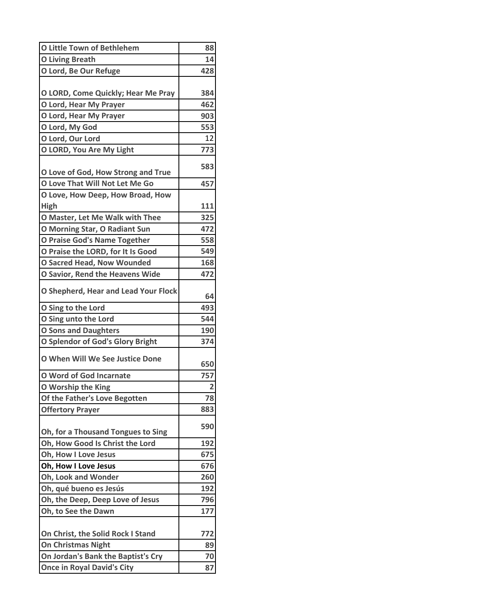| <b>O Little Town of Bethlehem</b>      | 88             |
|----------------------------------------|----------------|
| <b>O Living Breath</b>                 | 14             |
| O Lord, Be Our Refuge                  | 428            |
|                                        |                |
| O LORD, Come Quickly; Hear Me Pray     | 384            |
| O Lord, Hear My Prayer                 | 462            |
| O Lord, Hear My Prayer                 | 903            |
| O Lord, My God                         | 553            |
| O Lord, Our Lord                       | 12<br>773      |
| O LORD, You Are My Light               |                |
| O Love of God, How Strong and True     | 583            |
| O Love That Will Not Let Me Go         | 457            |
| O Love, How Deep, How Broad, How       |                |
| High                                   | 111            |
| O Master, Let Me Walk with Thee        | 325            |
| O Morning Star, O Radiant Sun          | 472            |
| O Praise God's Name Together           | 558            |
| O Praise the LORD, for It Is Good      | 549            |
| <b>O Sacred Head, Now Wounded</b>      | 168            |
| <b>O Savior, Rend the Heavens Wide</b> | 472            |
| O Shepherd, Hear and Lead Your Flock   | 64             |
| O Sing to the Lord                     | 493            |
| O Sing unto the Lord                   | 544            |
| <b>O Sons and Daughters</b>            | 190            |
| O Splendor of God's Glory Bright       | 374            |
| <b>O When Will We See Justice Done</b> | 650            |
| O Word of God Incarnate                | 757            |
| O Worship the King                     | $\overline{2}$ |
| Of the Father's Love Begotten          | 78             |
| <b>Offertory Prayer</b>                | 883            |
| Oh, for a Thousand Tongues to Sing     | 590            |
| Oh, How Good Is Christ the Lord        | 192            |
| Oh, How I Love Jesus                   | 675            |
| Oh, How I Love Jesus                   | 676            |
| Oh, Look and Wonder                    | 260            |
| Oh, qué bueno es Jesús                 | 192            |
| Oh, the Deep, Deep Love of Jesus       | 796            |
| Oh, to See the Dawn                    | 177            |
|                                        |                |
| On Christ, the Solid Rock I Stand      | 772            |
| <b>On Christmas Night</b>              | 89             |
| On Jordan's Bank the Baptist's Cry     | 70             |
| <b>Once in Royal David's City</b>      | 87             |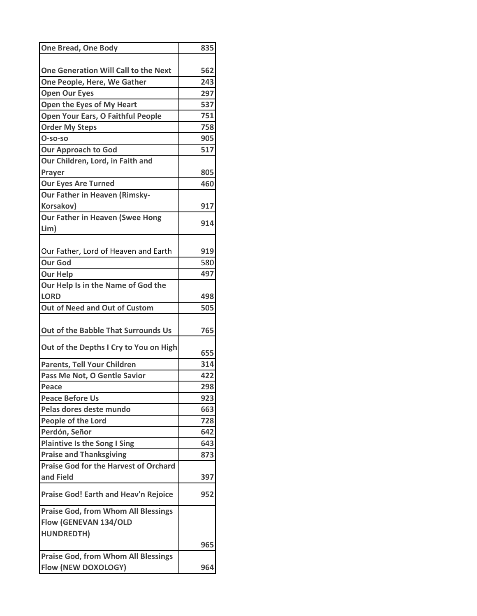| <b>One Bread, One Body</b>                   | 835 |
|----------------------------------------------|-----|
|                                              |     |
| One Generation Will Call to the Next         | 562 |
| One People, Here, We Gather                  | 243 |
| <b>Open Our Eyes</b>                         | 297 |
| Open the Eyes of My Heart                    | 537 |
| Open Your Ears, O Faithful People            | 751 |
| <b>Order My Steps</b>                        | 758 |
| $O$ -so-so                                   | 905 |
| <b>Our Approach to God</b>                   | 517 |
| Our Children, Lord, in Faith and             |     |
| Prayer                                       | 805 |
| <b>Our Eyes Are Turned</b>                   | 460 |
| <b>Our Father in Heaven (Rimsky-</b>         |     |
| Korsakov)                                    | 917 |
| <b>Our Father in Heaven (Swee Hong</b>       |     |
| Lim)                                         | 914 |
|                                              |     |
| Our Father, Lord of Heaven and Earth         | 919 |
| <b>Our God</b>                               | 580 |
| <b>Our Help</b>                              | 497 |
| Our Help Is in the Name of God the           |     |
| <b>LORD</b>                                  | 498 |
| Out of Need and Out of Custom                | 505 |
|                                              |     |
| Out of the Babble That Surrounds Us          | 765 |
|                                              |     |
| Out of the Depths I Cry to You on High       | 655 |
| Parents, Tell Your Children                  | 314 |
| Pass Me Not, O Gentle Savior                 | 422 |
| Peace                                        | 298 |
| <b>Peace Before Us</b>                       | 923 |
| Pelas dores deste mundo                      | 663 |
| People of the Lord                           | 728 |
| Perdón, Señor                                | 642 |
| <b>Plaintive Is the Song I Sing</b>          | 643 |
| <b>Praise and Thanksgiving</b>               | 873 |
| <b>Praise God for the Harvest of Orchard</b> |     |
| and Field                                    | 397 |
| <b>Praise God! Earth and Heav'n Rejoice</b>  | 952 |
| <b>Praise God, from Whom All Blessings</b>   |     |
|                                              |     |
| Flow (GENEVAN 134/OLD                        |     |
| <b>HUNDREDTH)</b>                            |     |
|                                              | 965 |
| <b>Praise God, from Whom All Blessings</b>   |     |
| Flow (NEW DOXOLOGY)                          | 964 |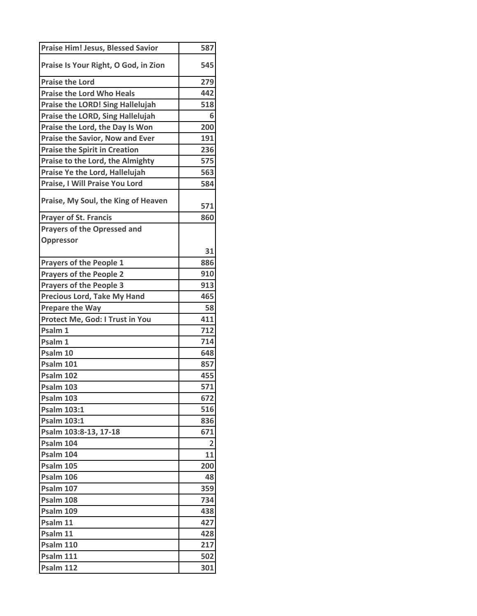| Praise Is Your Right, O God, in Zion<br>545<br>279<br><b>Praise the Lord Who Heals</b><br>442<br><b>Praise the LORD! Sing Hallelujah</b><br>518<br>Praise the LORD, Sing Hallelujah<br>6<br>Praise the Lord, the Day Is Won<br>200<br>191<br><b>Praise the Spirit in Creation</b><br>236<br>Praise to the Lord, the Almighty<br>575<br>563<br>Praise Ye the Lord, Hallelujah<br>Praise, I Will Praise You Lord<br>584<br>Praise, My Soul, the King of Heaven<br>571<br><b>Prayer of St. Francis</b><br>860<br><b>Prayers of the Opressed and</b><br>Oppressor<br>31<br>886<br><b>Prayers of the People 1</b><br><b>Prayers of the People 2</b><br>910<br><b>Prayers of the People 3</b><br>913<br>Precious Lord, Take My Hand<br>465<br><b>Prepare the Way</b><br>58<br>Protect Me, God: I Trust in You<br>411<br>Psalm 1<br>712<br>714<br>648<br>857<br>455<br>571<br><b>Psalm 103</b><br>672<br><b>Psalm 103:1</b><br>516<br><b>Psalm 103:1</b><br>836<br>Psalm 103:8-13, 17-18<br>671<br>Psalm 104<br>2<br>11<br><b>Psalm 105</b><br>200<br>Psalm 106<br>48<br><b>Psalm 107</b><br>359<br>Psalm 108<br>734<br>438<br>Psalm 11<br>427<br>Psalm 11<br>428<br><b>Psalm 110</b><br>217<br><b>Psalm 111</b><br>502 | <b>Praise Him! Jesus, Blessed Savior</b> | 587 |
|------------------------------------------------------------------------------------------------------------------------------------------------------------------------------------------------------------------------------------------------------------------------------------------------------------------------------------------------------------------------------------------------------------------------------------------------------------------------------------------------------------------------------------------------------------------------------------------------------------------------------------------------------------------------------------------------------------------------------------------------------------------------------------------------------------------------------------------------------------------------------------------------------------------------------------------------------------------------------------------------------------------------------------------------------------------------------------------------------------------------------------------------------------------------------------------------------------------|------------------------------------------|-----|
|                                                                                                                                                                                                                                                                                                                                                                                                                                                                                                                                                                                                                                                                                                                                                                                                                                                                                                                                                                                                                                                                                                                                                                                                                  |                                          |     |
|                                                                                                                                                                                                                                                                                                                                                                                                                                                                                                                                                                                                                                                                                                                                                                                                                                                                                                                                                                                                                                                                                                                                                                                                                  | <b>Praise the Lord</b>                   |     |
|                                                                                                                                                                                                                                                                                                                                                                                                                                                                                                                                                                                                                                                                                                                                                                                                                                                                                                                                                                                                                                                                                                                                                                                                                  |                                          |     |
|                                                                                                                                                                                                                                                                                                                                                                                                                                                                                                                                                                                                                                                                                                                                                                                                                                                                                                                                                                                                                                                                                                                                                                                                                  |                                          |     |
|                                                                                                                                                                                                                                                                                                                                                                                                                                                                                                                                                                                                                                                                                                                                                                                                                                                                                                                                                                                                                                                                                                                                                                                                                  |                                          |     |
|                                                                                                                                                                                                                                                                                                                                                                                                                                                                                                                                                                                                                                                                                                                                                                                                                                                                                                                                                                                                                                                                                                                                                                                                                  |                                          |     |
|                                                                                                                                                                                                                                                                                                                                                                                                                                                                                                                                                                                                                                                                                                                                                                                                                                                                                                                                                                                                                                                                                                                                                                                                                  | <b>Praise the Savior, Now and Ever</b>   |     |
|                                                                                                                                                                                                                                                                                                                                                                                                                                                                                                                                                                                                                                                                                                                                                                                                                                                                                                                                                                                                                                                                                                                                                                                                                  |                                          |     |
|                                                                                                                                                                                                                                                                                                                                                                                                                                                                                                                                                                                                                                                                                                                                                                                                                                                                                                                                                                                                                                                                                                                                                                                                                  |                                          |     |
|                                                                                                                                                                                                                                                                                                                                                                                                                                                                                                                                                                                                                                                                                                                                                                                                                                                                                                                                                                                                                                                                                                                                                                                                                  |                                          |     |
|                                                                                                                                                                                                                                                                                                                                                                                                                                                                                                                                                                                                                                                                                                                                                                                                                                                                                                                                                                                                                                                                                                                                                                                                                  |                                          |     |
|                                                                                                                                                                                                                                                                                                                                                                                                                                                                                                                                                                                                                                                                                                                                                                                                                                                                                                                                                                                                                                                                                                                                                                                                                  |                                          |     |
|                                                                                                                                                                                                                                                                                                                                                                                                                                                                                                                                                                                                                                                                                                                                                                                                                                                                                                                                                                                                                                                                                                                                                                                                                  |                                          |     |
|                                                                                                                                                                                                                                                                                                                                                                                                                                                                                                                                                                                                                                                                                                                                                                                                                                                                                                                                                                                                                                                                                                                                                                                                                  |                                          |     |
|                                                                                                                                                                                                                                                                                                                                                                                                                                                                                                                                                                                                                                                                                                                                                                                                                                                                                                                                                                                                                                                                                                                                                                                                                  |                                          |     |
|                                                                                                                                                                                                                                                                                                                                                                                                                                                                                                                                                                                                                                                                                                                                                                                                                                                                                                                                                                                                                                                                                                                                                                                                                  |                                          |     |
|                                                                                                                                                                                                                                                                                                                                                                                                                                                                                                                                                                                                                                                                                                                                                                                                                                                                                                                                                                                                                                                                                                                                                                                                                  |                                          |     |
|                                                                                                                                                                                                                                                                                                                                                                                                                                                                                                                                                                                                                                                                                                                                                                                                                                                                                                                                                                                                                                                                                                                                                                                                                  |                                          |     |
|                                                                                                                                                                                                                                                                                                                                                                                                                                                                                                                                                                                                                                                                                                                                                                                                                                                                                                                                                                                                                                                                                                                                                                                                                  |                                          |     |
|                                                                                                                                                                                                                                                                                                                                                                                                                                                                                                                                                                                                                                                                                                                                                                                                                                                                                                                                                                                                                                                                                                                                                                                                                  |                                          |     |
|                                                                                                                                                                                                                                                                                                                                                                                                                                                                                                                                                                                                                                                                                                                                                                                                                                                                                                                                                                                                                                                                                                                                                                                                                  |                                          |     |
|                                                                                                                                                                                                                                                                                                                                                                                                                                                                                                                                                                                                                                                                                                                                                                                                                                                                                                                                                                                                                                                                                                                                                                                                                  |                                          |     |
|                                                                                                                                                                                                                                                                                                                                                                                                                                                                                                                                                                                                                                                                                                                                                                                                                                                                                                                                                                                                                                                                                                                                                                                                                  |                                          |     |
|                                                                                                                                                                                                                                                                                                                                                                                                                                                                                                                                                                                                                                                                                                                                                                                                                                                                                                                                                                                                                                                                                                                                                                                                                  | Psalm 1                                  |     |
|                                                                                                                                                                                                                                                                                                                                                                                                                                                                                                                                                                                                                                                                                                                                                                                                                                                                                                                                                                                                                                                                                                                                                                                                                  | Psalm 10                                 |     |
|                                                                                                                                                                                                                                                                                                                                                                                                                                                                                                                                                                                                                                                                                                                                                                                                                                                                                                                                                                                                                                                                                                                                                                                                                  | <b>Psalm 101</b>                         |     |
|                                                                                                                                                                                                                                                                                                                                                                                                                                                                                                                                                                                                                                                                                                                                                                                                                                                                                                                                                                                                                                                                                                                                                                                                                  | <b>Psalm 102</b>                         |     |
|                                                                                                                                                                                                                                                                                                                                                                                                                                                                                                                                                                                                                                                                                                                                                                                                                                                                                                                                                                                                                                                                                                                                                                                                                  |                                          |     |
|                                                                                                                                                                                                                                                                                                                                                                                                                                                                                                                                                                                                                                                                                                                                                                                                                                                                                                                                                                                                                                                                                                                                                                                                                  | <b>Psalm 103</b>                         |     |
|                                                                                                                                                                                                                                                                                                                                                                                                                                                                                                                                                                                                                                                                                                                                                                                                                                                                                                                                                                                                                                                                                                                                                                                                                  |                                          |     |
|                                                                                                                                                                                                                                                                                                                                                                                                                                                                                                                                                                                                                                                                                                                                                                                                                                                                                                                                                                                                                                                                                                                                                                                                                  |                                          |     |
|                                                                                                                                                                                                                                                                                                                                                                                                                                                                                                                                                                                                                                                                                                                                                                                                                                                                                                                                                                                                                                                                                                                                                                                                                  |                                          |     |
|                                                                                                                                                                                                                                                                                                                                                                                                                                                                                                                                                                                                                                                                                                                                                                                                                                                                                                                                                                                                                                                                                                                                                                                                                  |                                          |     |
|                                                                                                                                                                                                                                                                                                                                                                                                                                                                                                                                                                                                                                                                                                                                                                                                                                                                                                                                                                                                                                                                                                                                                                                                                  | Psalm 104                                |     |
|                                                                                                                                                                                                                                                                                                                                                                                                                                                                                                                                                                                                                                                                                                                                                                                                                                                                                                                                                                                                                                                                                                                                                                                                                  |                                          |     |
|                                                                                                                                                                                                                                                                                                                                                                                                                                                                                                                                                                                                                                                                                                                                                                                                                                                                                                                                                                                                                                                                                                                                                                                                                  |                                          |     |
|                                                                                                                                                                                                                                                                                                                                                                                                                                                                                                                                                                                                                                                                                                                                                                                                                                                                                                                                                                                                                                                                                                                                                                                                                  |                                          |     |
|                                                                                                                                                                                                                                                                                                                                                                                                                                                                                                                                                                                                                                                                                                                                                                                                                                                                                                                                                                                                                                                                                                                                                                                                                  |                                          |     |
|                                                                                                                                                                                                                                                                                                                                                                                                                                                                                                                                                                                                                                                                                                                                                                                                                                                                                                                                                                                                                                                                                                                                                                                                                  | Psalm 109                                |     |
|                                                                                                                                                                                                                                                                                                                                                                                                                                                                                                                                                                                                                                                                                                                                                                                                                                                                                                                                                                                                                                                                                                                                                                                                                  |                                          |     |
|                                                                                                                                                                                                                                                                                                                                                                                                                                                                                                                                                                                                                                                                                                                                                                                                                                                                                                                                                                                                                                                                                                                                                                                                                  |                                          |     |
|                                                                                                                                                                                                                                                                                                                                                                                                                                                                                                                                                                                                                                                                                                                                                                                                                                                                                                                                                                                                                                                                                                                                                                                                                  |                                          |     |
|                                                                                                                                                                                                                                                                                                                                                                                                                                                                                                                                                                                                                                                                                                                                                                                                                                                                                                                                                                                                                                                                                                                                                                                                                  |                                          |     |
| <b>Psalm 112</b><br>301                                                                                                                                                                                                                                                                                                                                                                                                                                                                                                                                                                                                                                                                                                                                                                                                                                                                                                                                                                                                                                                                                                                                                                                          |                                          |     |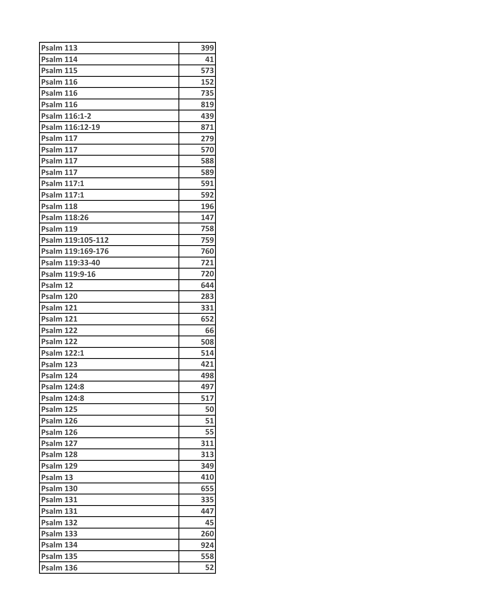| Psalm 113           | 399 |
|---------------------|-----|
| Psalm 114           | 41  |
| <b>Psalm 115</b>    | 573 |
| Psalm 116           | 152 |
| Psalm 116           | 735 |
| Psalm 116           | 819 |
| Psalm 116:1-2       | 439 |
| Psalm 116:12-19     | 871 |
| Psalm 117           | 279 |
| Psalm 117           | 570 |
| Psalm 117           | 588 |
| Psalm 117           | 589 |
| <b>Psalm 117:1</b>  | 591 |
| <b>Psalm 117:1</b>  | 592 |
| Psalm 118           | 196 |
| <b>Psalm 118:26</b> | 147 |
| Psalm 119           | 758 |
| Psalm 119:105-112   | 759 |
| Psalm 119:169-176   | 760 |
| Psalm 119:33-40     | 721 |
| Psalm 119:9-16      | 720 |
| Psalm 12            | 644 |
| Psalm 120           | 283 |
| Psalm 121           | 331 |
| Psalm 121           | 652 |
| Psalm 122           | 66  |
| Psalm 122           | 508 |
| <b>Psalm 122:1</b>  | 514 |
| Psalm 123           | 421 |
| Psalm 124           | 498 |
| <b>Psalm 124:8</b>  | 497 |
| <b>Psalm 124:8</b>  | 517 |
| Psalm 125           | 50  |
| Psalm 126           | 51  |
| Psalm 126           | 55  |
| Psalm 127           | 311 |
| Psalm 128           | 313 |
| Psalm 129           | 349 |
| Psalm 13            | 410 |
| <b>Psalm 130</b>    | 655 |
| Psalm 131           | 335 |
| Psalm 131           | 447 |
| Psalm 132           | 45  |
| Psalm 133           | 260 |
| Psalm 134           | 924 |
| Psalm 135           | 558 |
| Psalm 136           | 52  |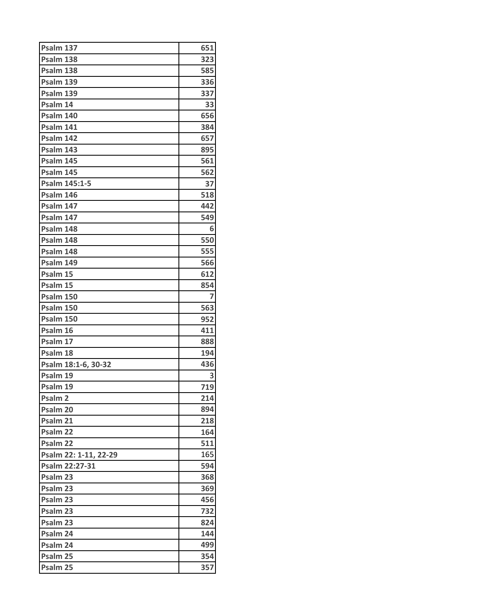| Psalm 137                  | 651        |
|----------------------------|------------|
| Psalm 138                  | 323        |
| Psalm 138                  | 585        |
| Psalm 139                  | 336        |
| Psalm 139                  | 337        |
| Psalm 14                   | 33         |
| Psalm 140                  | 656        |
| Psalm 141                  | 384        |
| Psalm 142                  | 657        |
| Psalm 143                  | 895        |
| Psalm 145                  | 561        |
| Psalm 145                  | 562        |
| Psalm 145:1-5              | 37         |
| Psalm 146                  | 518        |
| Psalm 147                  | 442        |
| Psalm 147                  | 549        |
| Psalm 148                  | 6          |
| Psalm 148                  | 550        |
| Psalm 148                  | 555        |
| Psalm 149                  | 566        |
| Psalm 15                   | 612        |
| Psalm 15                   | 854        |
| Psalm 150                  | 7          |
| <b>Psalm 150</b>           | 563        |
| <b>Psalm 150</b>           | 952        |
| Psalm 16                   | 411        |
| Psalm 17                   | 888        |
| Psalm 18                   | 194        |
| Psalm 18:1-6, 30-32        | 436        |
| Psalm 19                   | 3          |
| Psalm 19                   | 719        |
| Psalm <sub>2</sub>         | 214        |
| Psalm 20                   | 894        |
| Psalm 21                   | 218        |
| Psalm 22                   | 164        |
| Psalm 22                   | 511        |
| Psalm 22: 1-11, 22-29      | 165        |
| Psalm 22:27-31<br>Psalm 23 | 594        |
| Psalm <sub>23</sub>        | 368<br>369 |
| Psalm 23                   | 456        |
| Psalm 23                   | 732        |
| Psalm 23                   | 824        |
| Psalm 24                   | 144        |
| Psalm 24                   | 499        |
| Psalm 25                   | 354        |
| Psalm 25                   | 357        |
|                            |            |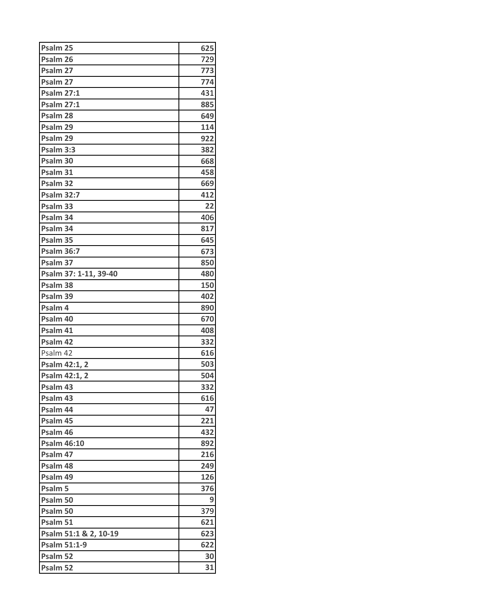| Psalm 25              | 625 |
|-----------------------|-----|
| Psalm 26              | 729 |
| Psalm 27              | 773 |
| Psalm 27              | 774 |
| <b>Psalm 27:1</b>     | 431 |
| <b>Psalm 27:1</b>     | 885 |
| Psalm 28              | 649 |
| Psalm 29              | 114 |
| Psalm 29              | 922 |
| Psalm 3:3             | 382 |
| Psalm 30              | 668 |
| Psalm 31              | 458 |
| Psalm 32              | 669 |
| <b>Psalm 32:7</b>     | 412 |
| Psalm 33              | 22  |
| Psalm 34              | 406 |
| Psalm 34              | 817 |
| Psalm 35              | 645 |
| <b>Psalm 36:7</b>     | 673 |
| Psalm 37              | 850 |
| Psalm 37: 1-11, 39-40 | 480 |
| Psalm 38              | 150 |
| Psalm 39              | 402 |
| Psalm 4               | 890 |
| Psalm 40              | 670 |
| Psalm 41              | 408 |
| Psalm 42              | 332 |
| Psalm 42              | 616 |
| Psalm 42:1, 2         | 503 |
| Psalm 42:1, 2         | 504 |
| Psalm 43              | 332 |
| Psalm 43              | 616 |
| Psalm 44              | 47  |
| Psalm 45              | 221 |
| Psalm 46              | 432 |
| <b>Psalm 46:10</b>    | 892 |
| Psalm 47              | 216 |
| Psalm 48              | 249 |
| Psalm 49              | 126 |
| Psalm 5               | 376 |
| Psalm 50              | 9   |
| Psalm 50              | 379 |
| Psalm 51              | 621 |
| Psalm 51:1 & 2, 10-19 | 623 |
| <b>Psalm 51:1-9</b>   | 622 |
| Psalm 52              | 30  |
| Psalm 52              | 31  |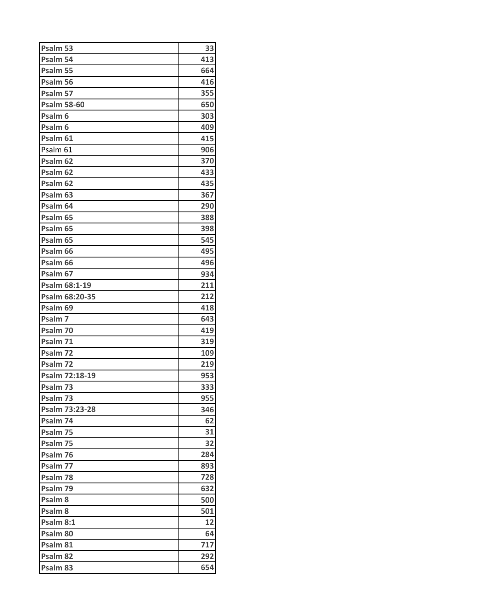| Psalm 53            | 33  |
|---------------------|-----|
| Psalm 54            | 413 |
| Psalm 55            | 664 |
| Psalm 56            | 416 |
| Psalm 57            | 355 |
| <b>Psalm 58-60</b>  | 650 |
| Psalm <sub>6</sub>  | 303 |
| Psalm <sub>6</sub>  | 409 |
| Psalm 61            | 415 |
| Psalm 61            | 906 |
| Psalm 62            | 370 |
| Psalm 62            | 433 |
| Psalm 62            | 435 |
| Psalm 63            | 367 |
| Psalm 64            | 290 |
| Psalm 65            | 388 |
| Psalm <sub>65</sub> | 398 |
| Psalm 65            | 545 |
| Psalm 66            | 495 |
| Psalm 66            | 496 |
| Psalm 67            | 934 |
| Psalm 68:1-19       | 211 |
| Psalm 68:20-35      | 212 |
| Psalm 69            | 418 |
| Psalm 7             | 643 |
| Psalm 70            | 419 |
| Psalm 71            | 319 |
| Psalm 72            | 109 |
| Psalm 72            | 219 |
| Psalm 72:18-19      | 953 |
| Psalm 73            | 333 |
| Psalm 73            | 955 |
| Psalm 73:23-28      | 346 |
| Psalm 74            | 62  |
| Psalm 75            | 31  |
| Psalm 75            | 32  |
| Psalm 76            | 284 |
| Psalm 77            | 893 |
| Psalm 78            | 728 |
| Psalm 79            | 632 |
| Psalm <sub>8</sub>  | 500 |
| Psalm 8             | 501 |
| Psalm 8:1           | 12  |
| Psalm 80            | 64  |
| Psalm 81            | 717 |
| Psalm 82            | 292 |
| Psalm 83            | 654 |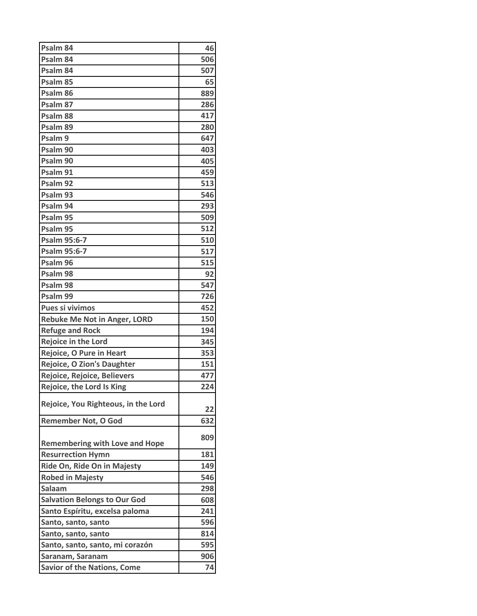| Psalm <sub>84</sub>                   | 46  |
|---------------------------------------|-----|
| Psalm 84                              | 506 |
| Psalm 84                              | 507 |
| Psalm 85                              | 65  |
| Psalm 86                              | 889 |
| Psalm 87                              | 286 |
| Psalm 88                              | 417 |
| Psalm 89                              | 280 |
| Psalm 9                               | 647 |
| Psalm 90                              | 403 |
| Psalm 90                              | 405 |
| Psalm 91                              | 459 |
| Psalm 92                              | 513 |
| Psalm 93                              | 546 |
| Psalm 94                              | 293 |
| Psalm 95                              | 509 |
| Psalm 95                              | 512 |
| Psalm 95:6-7                          | 510 |
| Psalm 95:6-7                          | 517 |
| Psalm 96                              | 515 |
| Psalm 98                              | 92  |
| Psalm 98                              | 547 |
| Psalm 99                              | 726 |
| Pues si vivimos                       | 452 |
| <b>Rebuke Me Not in Anger, LORD</b>   | 150 |
| <b>Refuge and Rock</b>                | 194 |
| Rejoice in the Lord                   | 345 |
| Rejoice, O Pure in Heart              | 353 |
| <b>Rejoice, O Zion's Daughter</b>     | 151 |
| Rejoice, Rejoice, Believers           | 477 |
| Rejoice, the Lord Is King             | 224 |
| Rejoice, You Righteous, in the Lord   | 22  |
| <b>Remember Not, O God</b>            | 632 |
| <b>Remembering with Love and Hope</b> | 809 |
| <b>Resurrection Hymn</b>              | 181 |
| Ride On, Ride On in Majesty           | 149 |
| <b>Robed in Majesty</b>               | 546 |
| Salaam                                | 298 |
| <b>Salvation Belongs to Our God</b>   | 608 |
| Santo Espíritu, excelsa paloma        | 241 |
| Santo, santo, santo                   | 596 |
| Santo, santo, santo                   | 814 |
| Santo, santo, santo, mi corazón       | 595 |
| Saranam, Saranam                      | 906 |
| <b>Savior of the Nations, Come</b>    | 74  |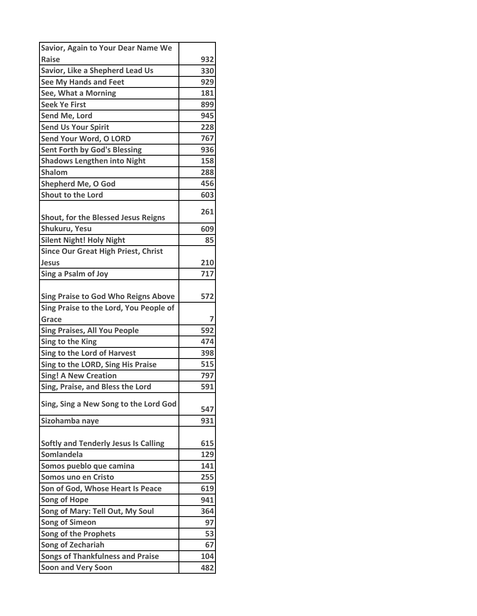| Savior, Again to Your Dear Name We                                                   |     |
|--------------------------------------------------------------------------------------|-----|
| <b>Raise</b>                                                                         | 932 |
| Savior, Like a Shepherd Lead Us                                                      | 330 |
| See My Hands and Feet                                                                | 929 |
| See, What a Morning                                                                  | 181 |
| <b>Seek Ye First</b>                                                                 | 899 |
| Send Me, Lord                                                                        | 945 |
| <b>Send Us Your Spirit</b>                                                           | 228 |
| Send Your Word, O LORD                                                               | 767 |
| <b>Sent Forth by God's Blessing</b>                                                  | 936 |
| <b>Shadows Lengthen into Night</b>                                                   | 158 |
| <b>Shalom</b>                                                                        | 288 |
| <b>Shepherd Me, O God</b>                                                            | 456 |
| Shout to the Lord                                                                    | 603 |
| Shout, for the Blessed Jesus Reigns                                                  | 261 |
| Shukuru, Yesu                                                                        | 609 |
| <b>Silent Night! Holy Night</b>                                                      | 85  |
| <b>Since Our Great High Priest, Christ</b>                                           |     |
| <b>Jesus</b>                                                                         | 210 |
| Sing a Psalm of Joy                                                                  | 717 |
| <b>Sing Praise to God Who Reigns Above</b><br>Sing Praise to the Lord, You People of | 572 |
| Grace                                                                                | 7   |
| <b>Sing Praises, All You People</b>                                                  | 592 |
| Sing to the King                                                                     | 474 |
| Sing to the Lord of Harvest                                                          | 398 |
| Sing to the LORD, Sing His Praise                                                    | 515 |
| <b>Sing! A New Creation</b>                                                          | 797 |
| Sing, Praise, and Bless the Lord                                                     | 591 |
| Sing, Sing a New Song to the Lord God                                                | 547 |
| Sizohamba naye                                                                       | 931 |
| <b>Softly and Tenderly Jesus Is Calling</b>                                          | 615 |
| Somlandela                                                                           | 129 |
| Somos pueblo que camina                                                              | 141 |
| Somos uno en Cristo                                                                  | 255 |
| Son of God, Whose Heart Is Peace                                                     | 619 |
| <b>Song of Hope</b>                                                                  | 941 |
| Song of Mary: Tell Out, My Soul                                                      | 364 |
| <b>Song of Simeon</b>                                                                | 97  |
| <b>Song of the Prophets</b>                                                          | 53  |
| Song of Zechariah                                                                    | 67  |
| <b>Songs of Thankfulness and Praise</b>                                              | 104 |
| <b>Soon and Very Soon</b>                                                            | 482 |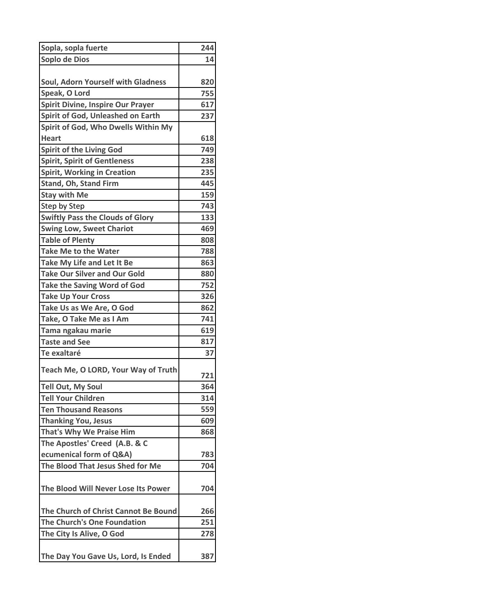| Sopla, sopla fuerte                      | 244 |
|------------------------------------------|-----|
| Soplo de Dios                            | 14  |
|                                          |     |
| Soul, Adorn Yourself with Gladness       | 820 |
| Speak, O Lord                            | 755 |
| <b>Spirit Divine, Inspire Our Prayer</b> | 617 |
| Spirit of God, Unleashed on Earth        | 237 |
| Spirit of God, Who Dwells Within My      |     |
| <b>Heart</b>                             | 618 |
| <b>Spirit of the Living God</b>          | 749 |
| <b>Spirit, Spirit of Gentleness</b>      | 238 |
| <b>Spirit, Working in Creation</b>       | 235 |
| Stand, Oh, Stand Firm                    | 445 |
| <b>Stay with Me</b>                      | 159 |
| Step by Step                             | 743 |
| <b>Swiftly Pass the Clouds of Glory</b>  | 133 |
| <b>Swing Low, Sweet Chariot</b>          | 469 |
| <b>Table of Plenty</b>                   | 808 |
| <b>Take Me to the Water</b>              | 788 |
| Take My Life and Let It Be               | 863 |
| <b>Take Our Silver and Our Gold</b>      | 880 |
| <b>Take the Saving Word of God</b>       | 752 |
| <b>Take Up Your Cross</b>                | 326 |
| Take Us as We Are, O God                 | 862 |
| Take, O Take Me as I Am                  | 741 |
| Tama ngakau marie                        | 619 |
| <b>Taste and See</b>                     | 817 |
| Te exaltaré                              | 37  |
| Teach Me, O LORD, Your Way of Truth      | 721 |
| <b>Tell Out, My Soul</b>                 | 364 |
| <b>Tell Your Children</b>                | 314 |
| <b>Ten Thousand Reasons</b>              | 559 |
| <b>Thanking You, Jesus</b>               | 609 |
| That's Why We Praise Him                 | 868 |
| The Apostles' Creed (A.B. & C            |     |
| ecumenical form of Q&A)                  | 783 |
| The Blood That Jesus Shed for Me         | 704 |
| The Blood Will Never Lose Its Power      | 704 |
| The Church of Christ Cannot Be Bound     | 266 |
| The Church's One Foundation              | 251 |
| The City Is Alive, O God                 | 278 |
|                                          |     |
| The Day You Gave Us, Lord, Is Ended      | 387 |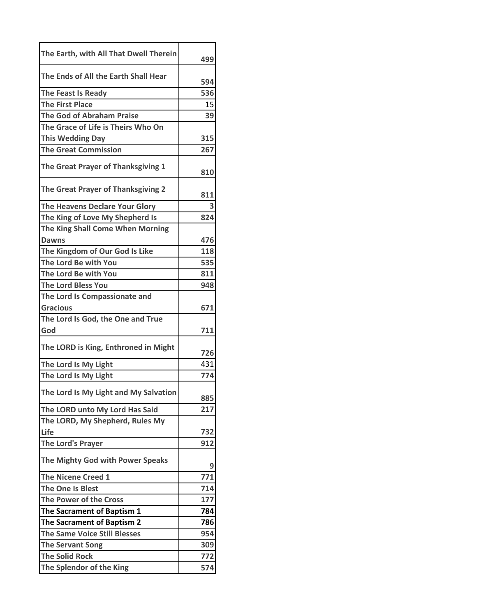| The Earth, with All That Dwell Therein |     |
|----------------------------------------|-----|
|                                        | 499 |
| The Ends of All the Earth Shall Hear   | 594 |
| <b>The Feast Is Ready</b>              | 536 |
| <b>The First Place</b>                 | 15  |
| <b>The God of Abraham Praise</b>       | 39  |
| The Grace of Life is Theirs Who On     |     |
| <b>This Wedding Day</b>                | 315 |
| <b>The Great Commission</b>            | 267 |
| The Great Prayer of Thanksgiving 1     | 810 |
| The Great Prayer of Thanksgiving 2     | 811 |
| The Heavens Declare Your Glory         |     |
| The King of Love My Shepherd Is        | 824 |
| The King Shall Come When Morning       |     |
| <b>Dawns</b>                           | 476 |
| The Kingdom of Our God Is Like         | 118 |
| The Lord Be with You                   | 535 |
| The Lord Be with You                   | 811 |
| <b>The Lord Bless You</b>              | 948 |
| The Lord Is Compassionate and          |     |
| <b>Gracious</b>                        | 671 |
| The Lord Is God, the One and True      |     |
| God                                    | 711 |
| The LORD is King, Enthroned in Might   | 726 |
| The Lord Is My Light                   | 431 |
| The Lord Is My Light                   | 774 |
| The Lord Is My Light and My Salvation  | 885 |
| The LORD unto My Lord Has Said         | 217 |
| The LORD, My Shepherd, Rules My        |     |
| Life                                   | 732 |
| The Lord's Prayer                      | 912 |
| The Mighty God with Power Speaks       | 9   |
| <b>The Nicene Creed 1</b>              | 771 |
| The One Is Blest                       | 714 |
| <b>The Power of the Cross</b>          | 177 |
| The Sacrament of Baptism 1             | 784 |
| The Sacrament of Baptism 2             | 786 |
| <b>The Same Voice Still Blesses</b>    | 954 |
| <b>The Servant Song</b>                | 309 |
| <b>The Solid Rock</b>                  | 772 |
| The Splendor of the King               | 574 |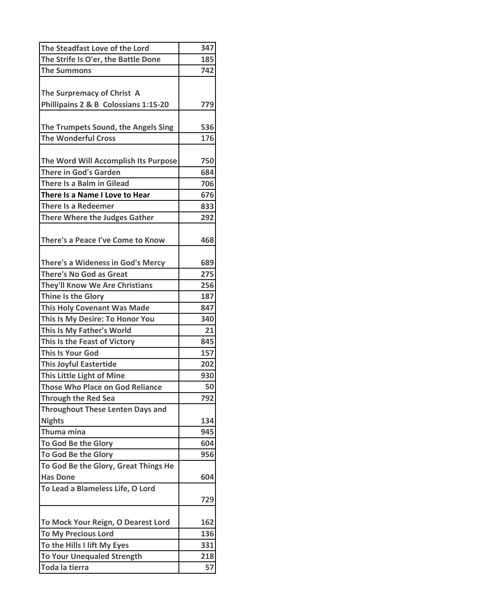| The Steadfast Love of the Lord           | 347 |
|------------------------------------------|-----|
| The Strife Is O'er, the Battle Done      | 185 |
| <b>The Summons</b>                       | 742 |
|                                          |     |
| The Surpremacy of Christ A               |     |
| Phillipains 2 & B Colossians 1:15-20     | 779 |
|                                          |     |
| The Trumpets Sound, the Angels Sing      | 536 |
| <b>The Wonderful Cross</b>               | 176 |
|                                          |     |
| The Word Will Accomplish Its Purpose     | 750 |
| <b>There in God's Garden</b>             | 684 |
| There Is a Balm in Gilead                | 706 |
| There Is a Name I Love to Hear           | 676 |
| <b>There Is a Redeemer</b>               | 833 |
| <b>There Where the Judges Gather</b>     | 292 |
|                                          |     |
| There's a Peace I've Come to Know        | 468 |
|                                          |     |
| <b>There's a Wideness in God's Mercy</b> | 689 |
| <b>There's No God as Great</b>           | 275 |
| <b>They'll Know We Are Christians</b>    | 256 |
| Thine Is the Glory                       | 187 |
| <b>This Holy Covenant Was Made</b>       | 847 |
| This Is My Desire: To Honor You          | 340 |
| This Is My Father's World                | 21  |
| This Is the Feast of Victory             | 845 |
| <b>This Is Your God</b>                  | 157 |
| <b>This Joyful Eastertide</b>            | 202 |
| This Little Light of Mine                | 930 |
| <b>Those Who Place on God Reliance</b>   | 50  |
| <b>Through the Red Sea</b>               | 792 |
| <b>Throughout These Lenten Days and</b>  |     |
| <b>Nights</b>                            | 134 |
| Thuma mina                               | 945 |
| To God Be the Glory                      | 604 |
| To God Be the Glory                      | 956 |
| To God Be the Glory, Great Things He     |     |
| <b>Has Done</b>                          | 604 |
| To Lead a Blameless Life, O Lord         |     |
|                                          | 729 |
|                                          |     |
| To Mock Your Reign, O Dearest Lord       | 162 |
| <b>To My Precious Lord</b>               | 136 |
| To the Hills I lift My Eyes              | 331 |
| <b>To Your Unequaled Strength</b>        | 218 |
| Toda la tierra                           | 57  |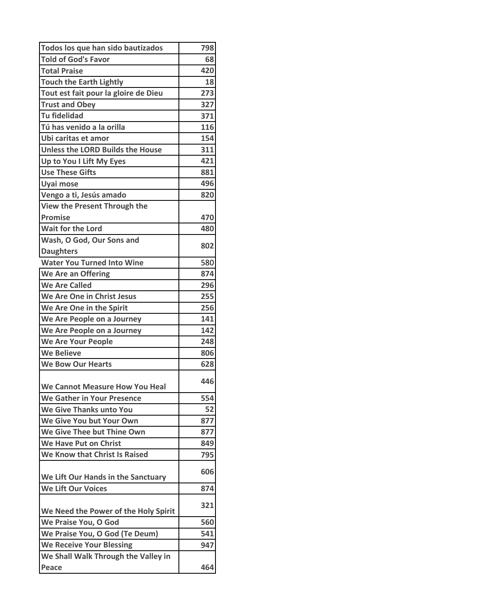| Todos los que han sido bautizados       | 798 |
|-----------------------------------------|-----|
| <b>Told of God's Favor</b>              | 68  |
| <b>Total Praise</b>                     | 420 |
| <b>Touch the Earth Lightly</b>          | 18  |
| Tout est fait pour la gloire de Dieu    | 273 |
| <b>Trust and Obey</b>                   | 327 |
| <b>Tu fidelidad</b>                     | 371 |
| Tú has venido a la orilla               | 116 |
| Ubi caritas et amor                     | 154 |
| <b>Unless the LORD Builds the House</b> | 311 |
| Up to You I Lift My Eyes                | 421 |
| <b>Use These Gifts</b>                  | 881 |
| Uyai mose                               | 496 |
| Vengo a ti, Jesús amado                 | 820 |
| View the Present Through the            |     |
| <b>Promise</b>                          | 470 |
| <b>Wait for the Lord</b>                | 480 |
| Wash, O God, Our Sons and               |     |
| <b>Daughters</b>                        | 802 |
| <b>Water You Turned Into Wine</b>       | 580 |
| We Are an Offering                      | 874 |
| <b>We Are Called</b>                    | 296 |
| We Are One in Christ Jesus              | 255 |
| We Are One in the Spirit                | 256 |
| We Are People on a Journey              | 141 |
| We Are People on a Journey              | 142 |
| <b>We Are Your People</b>               | 248 |
| <b>We Believe</b>                       | 806 |
| <b>We Bow Our Hearts</b>                | 628 |
| We Cannot Measure How You Heal          | 446 |
| <b>We Gather in Your Presence</b>       | 554 |
| We Give Thanks unto You                 | 52  |
| We Give You but Your Own                | 877 |
| We Give Thee but Thine Own              | 877 |
| <b>We Have Put on Christ</b>            | 849 |
| We Know that Christ Is Raised           | 795 |
|                                         | 606 |
| We Lift Our Hands in the Sanctuary      |     |
| <b>We Lift Our Voices</b>               | 874 |
| We Need the Power of the Holy Spirit    | 321 |
| We Praise You, O God                    | 560 |
| We Praise You, O God (Te Deum)          | 541 |
| <b>We Receive Your Blessing</b>         | 947 |
| We Shall Walk Through the Valley in     |     |
| Peace                                   | 464 |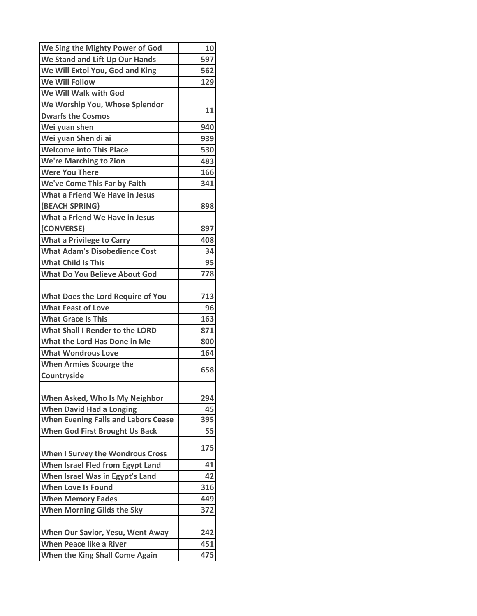| We Sing the Mighty Power of God            | 10  |
|--------------------------------------------|-----|
| We Stand and Lift Up Our Hands             | 597 |
| We Will Extol You, God and King            | 562 |
| <b>We Will Follow</b>                      | 129 |
| We Will Walk with God                      |     |
| We Worship You, Whose Splendor             |     |
| <b>Dwarfs the Cosmos</b>                   | 11  |
| Wei yuan shen                              | 940 |
| Wei yuan Shen di ai                        | 939 |
| <b>Welcome into This Place</b>             | 530 |
| <b>We're Marching to Zion</b>              | 483 |
| <b>Were You There</b>                      | 166 |
| We've Come This Far by Faith               | 341 |
| What a Friend We Have in Jesus             |     |
| (BEACH SPRING)                             | 898 |
| What a Friend We Have in Jesus             |     |
| (CONVERSE)                                 | 897 |
| <b>What a Privilege to Carry</b>           | 408 |
| <b>What Adam's Disobedience Cost</b>       | 34  |
| <b>What Child Is This</b>                  | 95  |
| <b>What Do You Believe About God</b>       | 778 |
|                                            |     |
| <b>What Does the Lord Require of You</b>   | 713 |
| <b>What Feast of Love</b>                  | 96  |
| <b>What Grace Is This</b>                  | 163 |
| <b>What Shall I Render to the LORD</b>     | 871 |
| What the Lord Has Done in Me               | 800 |
| <b>What Wondrous Love</b>                  | 164 |
| <b>When Armies Scourge the</b>             |     |
| Countryside                                | 658 |
|                                            |     |
| When Asked, Who Is My Neighbor             | 294 |
| <b>When David Had a Longing</b>            | 45  |
| <b>When Evening Falls and Labors Cease</b> | 395 |
| <b>When God First Brought Us Back</b>      | 55  |
|                                            | 175 |
| When I Survey the Wondrous Cross           |     |
| When Israel Fled from Egypt Land           | 41  |
| When Israel Was in Egypt's Land            | 42  |
| <b>When Love Is Found</b>                  | 316 |
| <b>When Memory Fades</b>                   | 449 |
| <b>When Morning Gilds the Sky</b>          | 372 |
|                                            |     |
| When Our Savior, Yesu, Went Away           | 242 |
| <b>When Peace like a River</b>             | 451 |
| When the King Shall Come Again             | 475 |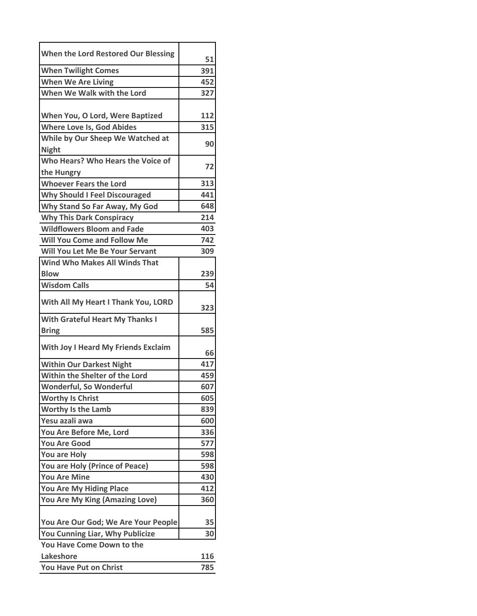| When the Lord Restored Our Blessing        | 51  |
|--------------------------------------------|-----|
| <b>When Twilight Comes</b>                 | 391 |
| <b>When We Are Living</b>                  | 452 |
| When We Walk with the Lord                 | 327 |
|                                            |     |
| When You, O Lord, Were Baptized            | 112 |
| <b>Where Love Is, God Abides</b>           | 315 |
| While by Our Sheep We Watched at           | 90  |
| <b>Night</b>                               |     |
| Who Hears? Who Hears the Voice of          | 72  |
| the Hungry                                 |     |
| <b>Whoever Fears the Lord</b>              | 313 |
| <b>Why Should I Feel Discouraged</b>       | 441 |
| Why Stand So Far Away, My God              | 648 |
| <b>Why This Dark Conspiracy</b>            | 214 |
| <b>Wildflowers Bloom and Fade</b>          | 403 |
| <b>Will You Come and Follow Me</b>         | 742 |
| Will You Let Me Be Your Servant            | 309 |
| <b>Wind Who Makes All Winds That</b>       |     |
| <b>Blow</b>                                | 239 |
| <b>Wisdom Calls</b>                        | 54  |
| With All My Heart I Thank You, LORD        |     |
|                                            | 323 |
| <b>With Grateful Heart My Thanks I</b>     |     |
| <b>Bring</b>                               | 585 |
| <b>With Joy I Heard My Friends Exclaim</b> | 66  |
| <b>Within Our Darkest Night</b>            | 417 |
| Within the Shelter of the Lord             | 459 |
| Wonderful, So Wonderful                    | 607 |
| <b>Worthy Is Christ</b>                    | 605 |
| <b>Worthy Is the Lamb</b>                  | 839 |
| Yesu azali awa                             | 600 |
| You Are Before Me, Lord                    | 336 |
| <b>You Are Good</b>                        | 577 |
| <b>You are Holy</b>                        | 598 |
| You are Holy (Prince of Peace)             | 598 |
| <b>You Are Mine</b>                        | 430 |
| You Are My Hiding Place                    | 412 |
| You Are My King (Amazing Love)             | 360 |
|                                            |     |
| You Are Our God; We Are Your People        | 35  |
| You Cunning Liar, Why Publicize            | 30  |
| You Have Come Down to the                  |     |
| Lakeshore                                  | 116 |
| You Have Put on Christ                     | 785 |